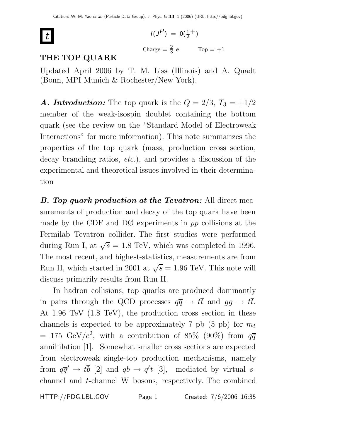

$$
I(J^{P}) = 0(\frac{1}{2}^{+})
$$
  
Change =  $\frac{2}{3}e$  Top = +1

# **THE TOP QUARK**

Updated April 2006 by T. M. Liss (Illinois) and A. Quadt (Bonn, MPI Munich & Rochester/New York).

**A. Introduction:** The top quark is the  $Q = 2/3$ ,  $T_3 = +1/2$ member of the weak-isospin doublet containing the bottom quark (see the review on the "Standard Model of Electroweak Interactions" for more information). This note summarizes the properties of the top quark (mass, production cross section, decay branching ratios, *etc.*), and provides a discussion of the experimental and theoretical issues involved in their determination

*B. Top quark production at the Tevatron:* All direct measurements of production and decay of the top quark have been made by the CDF and DØ experiments in  $p\bar{p}$  collisions at the Fermilab Tevatron collider. The first studies were performed during Run I, at  $\sqrt{s} = 1.8$  TeV, which was completed in 1996. The most recent, and highest-statistics, measurements are from Run II, which started in 2001 at  $\sqrt{s} = 1.96$  TeV. This note will discuss primarily results from Run II.

In hadron collisions, top quarks are produced dominantly in pairs through the QCD processes  $q\overline{q} \rightarrow t\overline{t}$  and  $gg \rightarrow t\overline{t}$ . At 1.96 TeV (1.8 TeV), the production cross section in these channels is expected to be approximately 7 pb (5 pb) for  $m_t$ = 175 GeV/ $c^2$ , with a contribution of 85% (90%) from  $q\overline{q}$ annihilation [1]. Somewhat smaller cross sections are expected from electroweak single-top production mechanisms, namely from  $q\overline{q}' \rightarrow tb$  [2] and  $qb \rightarrow q't$  [3], mediated by virtual schannel and t-channel W bosons, respectively. The combined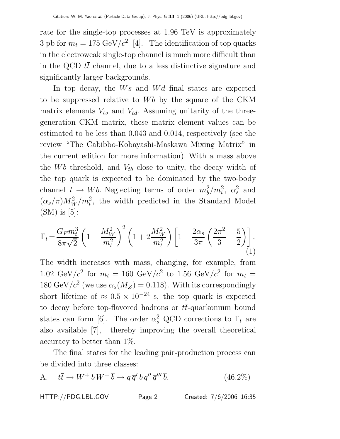rate for the single-top processes at 1.96 TeV is approximately 3 pb for  $m_t = 175 \text{ GeV}/c^2$  [4]. The identification of top quarks in the electroweak single-top channel is much more difficult than in the QCD  $t\bar{t}$  channel, due to a less distinctive signature and significantly larger backgrounds.

In top decay, the  $Ws$  and  $Wd$  final states are expected to be suppressed relative to  $Wb$  by the square of the CKM matrix elements  $V_{ts}$  and  $V_{td}$ . Assuming unitarity of the threegeneration CKM matrix, these matrix element values can be estimated to be less than 0.043 and 0.014, respectively (see the review "The Cabibbo-Kobayashi-Maskawa Mixing Matrix" in the current edition for more information). With a mass above the  $Wb$  threshold, and  $V_{tb}$  close to unity, the decay width of the top quark is expected to be dominated by the two-body channel  $t \to Wb$ . Neglecting terms of order  $m_b^2/m_t^2$ ,  $\alpha_s^2$  and  $(\alpha_s/\pi)M_W^2/m_t^2$ , the width predicted in the Standard Model  $(SM)$  is [5]:

$$
\Gamma_t = \frac{G_F m_t^3}{8\pi\sqrt{2}} \left( 1 - \frac{M_W^2}{m_t^2} \right)^2 \left( 1 + 2\frac{M_W^2}{m_t^2} \right) \left[ 1 - \frac{2\alpha_s}{3\pi} \left( \frac{2\pi^2}{3} - \frac{5}{2} \right) \right].
$$
\n(1)

The width increases with mass, changing, for example, from 1.02 GeV/ $c^2$  for  $m_t = 160 \text{ GeV}/c^2$  to 1.56 GeV/ $c^2$  for  $m_t =$ 180 GeV/ $c^2$  (we use  $\alpha_s(M_Z)=0.118$ ). With its correspondingly short lifetime of  $\approx 0.5 \times 10^{-24}$  s, the top quark is expected to decay before top-flavored hadrons or  $t\bar{t}$ -quarkonium bound states can form [6]. The order  $\alpha_s^2$  QCD corrections to  $\Gamma_t$  are also available [7], thereby improving the overall theoretical accuracy to better than 1%.

The final states for the leading pair-production process can be divided into three classes:

$$
\text{A.} \quad t\overline{t} \to W^+ b \, W^- \, \overline{b} \to q \, \overline{q}' \, b \, q'' \, \overline{q}''' \, \overline{b},\tag{46.2\%}
$$

HTTP://PDG.LBL.GOV Page 2 Created: 7/6/2006 16:35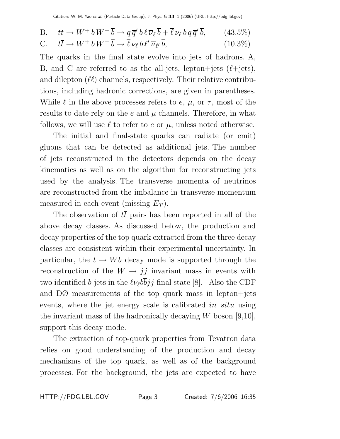B. 
$$
t\overline{t} \to W^+ b W^- \overline{b} \to q \overline{q}' b \ell \overline{\nu}_{\ell} \overline{b} + \overline{\ell} \nu_{\ell} b q \overline{q}' \overline{b},
$$
 (43.5%)

$$
\text{C.} \quad t\overline{t} \to W^+ b W^- \overline{b} \to \overline{\ell} \nu_{\ell} b \ell' \overline{\nu}_{\ell'} \overline{b}, \tag{10.3\%}
$$

The quarks in the final state evolve into jets of hadrons. A, B, and C are referred to as the all-jets, lepton+jets  $(\ell + \text{jets})$ , and dilepton  $(\ell\ell)$  channels, respectively. Their relative contributions, including hadronic corrections, are given in parentheses. While  $\ell$  in the above processes refers to  $e, \mu$ , or  $\tau$ , most of the results to date rely on the  $e$  and  $\mu$  channels. Therefore, in what follows, we will use  $\ell$  to refer to e or  $\mu$ , unless noted otherwise.

The initial and final-state quarks can radiate (or emit) gluons that can be detected as additional jets. The number of jets reconstructed in the detectors depends on the decay kinematics as well as on the algorithm for reconstructing jets used by the analysis. The transverse momenta of neutrinos are reconstructed from the imbalance in transverse momentum measured in each event (missing  $E_T$ ).

The observation of  $t\bar{t}$  pairs has been reported in all of the above decay classes. As discussed below, the production and decay properties of the top quark extracted from the three decay classes are consistent within their experimental uncertainty. In particular, the  $t \to Wb$  decay mode is supported through the reconstruction of the  $W \rightarrow jj$  invariant mass in events with two identified b-jets in the  $\ell \nu_{\ell} b \overline{b} j j$  final state [8]. Also the CDF and DØ measurements of the top quark mass in lepton+jets events, where the jet energy scale is calibrated in situ using the invariant mass of the hadronically decaying  $W$  boson [9,10], support this decay mode.

The extraction of top-quark properties from Tevatron data relies on good understanding of the production and decay mechanisms of the top quark, as well as of the background processes. For the background, the jets are expected to have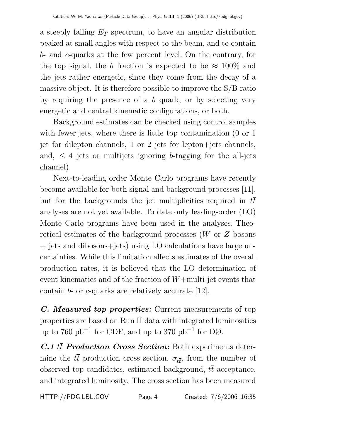a steeply falling  $E_T$  spectrum, to have an angular distribution peaked at small angles with respect to the beam, and to contain b- and c-quarks at the few percent level. On the contrary, for the top signal, the b fraction is expected to be  $\approx 100\%$  and the jets rather energetic, since they come from the decay of a massive object. It is therefore possible to improve the S/B ratio by requiring the presence of a  $b$  quark, or by selecting very energetic and central kinematic configurations, or both.

Background estimates can be checked using control samples with fewer jets, where there is little top contamination (0 or 1) jet for dilepton channels, 1 or 2 jets for lepton+jets channels, and,  $\leq 4$  jets or multijets ignoring b-tagging for the all-jets channel).

Next-to-leading order Monte Carlo programs have recently become available for both signal and background processes [11], but for the backgrounds the jet multiplicities required in tt analyses are not yet available. To date only leading-order (LO) Monte Carlo programs have been used in the analyses. Theoretical estimates of the background processes (W or Z bosons + jets and dibosons+jets) using LO calculations have large uncertainties. While this limitation affects estimates of the overall production rates, it is believed that the LO determination of event kinematics and of the fraction of  $W+$ multi-jet events that contain b- or c-quarks are relatively accurate [12].

*C. Measured top properties:* Current measurements of top properties are based on Run II data with integrated luminosities up to 760 pb<sup>-1</sup> for CDF, and up to 370 pb<sup>-1</sup> for D $\varnothing$ .

*C.1* tt *Production Cross Section:* Both experiments determine the  $t\bar{t}$  production cross section,  $\sigma_{t\bar{t}}$ , from the number of observed top candidates, estimated background,  $t\bar{t}$  acceptance, and integrated luminosity. The cross section has been measured

HTTP://PDG.LBL.GOV Page 4 Created: 7/6/2006 16:35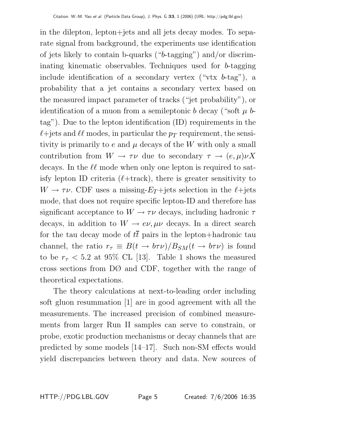in the dilepton, lepton+jets and all jets decay modes. To separate signal from background, the experiments use identification of jets likely to contain b-quarks ("b-tagging") and/or discriminating kinematic observables. Techniques used for b-tagging include identification of a secondary vertex ("vtx  $b$ -tag"), a probability that a jet contains a secondary vertex based on the measured impact parameter of tracks ("jet probability"), or identification of a muon from a semileptonic b decay ("soft  $\mu$  btag"). Due to the lepton identification (ID) requirements in the  $\ell$ +jets and  $\ell\ell$  modes, in particular the  $p_T$  requirement, the sensitivity is primarily to  $e$  and  $\mu$  decays of the W with only a small contribution from  $W \to \tau \nu$  due to secondary  $\tau \to (e, \mu) \nu X$ decays. In the  $\ell\ell$  mode when only one lepton is required to satisfy lepton ID criteria  $(\ell + \text{track})$ , there is greater sensitivity to  $W \to \tau \nu$ . CDF uses a missing- $E_T$ +jets selection in the  $\ell$ +jets mode, that does not require specific lepton-ID and therefore has significant acceptance to  $W \to \tau \nu$  decays, including hadronic  $\tau$ decays, in addition to  $W \to e\nu, \mu\nu$  decays. In a direct search for the tau decay mode of  $t\bar{t}$  pairs in the lepton+hadronic tau channel, the ratio  $r_{\tau} \equiv B(t \to b\tau \nu)/B_{SM}(t \to b\tau \nu)$  is found to be  $r_{\tau}$  < 5.2 at 95% CL [13]. Table 1 shows the measured cross sections from DØ and CDF, together with the range of theoretical expectations.

The theory calculations at next-to-leading order including soft gluon resummation [1] are in good agreement with all the measurements. The increased precision of combined measurements from larger Run II samples can serve to constrain, or probe, exotic production mechanisms or decay channels that are predicted by some models [14–17]. Such non-SM effects would yield discrepancies between theory and data. New sources of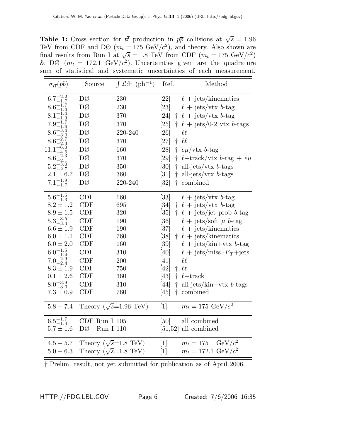**Table 1:** Cross section for  $t\bar{t}$  production in  $p\bar{p}$  collisions at  $\sqrt{s} = 1.96$ TeV from CDF and DØ  $(m_t = 175 \text{ GeV}/c^2)$ , and theory. Also shown are final results from Run I at  $\sqrt{s} = 1.8$  TeV from CDF  $(m_t = 175 \text{ GeV}/c^2)$ & DØ  $(m_t = 172.1 \text{ GeV}/c^2)$ . Uncertainties given are the quadrature sum of statistical and systematic uncertainties of each measurement.

| $\sigma_{t\bar{t}}(pb)$                                                                                                                                                                                                                                | Source                                                                                                                                                 | $\int \mathcal{L} dt$ (pb <sup>-1</sup> )                                               | Ref.                                                                                                                                                                        | Method                                                                                                                                                                                                                                                                                                                                                                                              |
|--------------------------------------------------------------------------------------------------------------------------------------------------------------------------------------------------------------------------------------------------------|--------------------------------------------------------------------------------------------------------------------------------------------------------|-----------------------------------------------------------------------------------------|-----------------------------------------------------------------------------------------------------------------------------------------------------------------------------|-----------------------------------------------------------------------------------------------------------------------------------------------------------------------------------------------------------------------------------------------------------------------------------------------------------------------------------------------------------------------------------------------------|
| $6.7^{+2.2}_{-1.7}$<br>$8.6^{+1.7}_{-1.6}$<br>$8.1^{+1.4}_{-1.2}$<br>$7.9^{+1.7}_{-1.6}$<br>$8.6^{+3.4}_{-3.0}$                                                                                                                                        | DØ<br>DØ<br>DØ<br>DØ<br>DØ                                                                                                                             | 230<br>230<br>370<br>370<br>220-240                                                     | [22]<br>[23]<br>[24]<br>$\left[ 25\right]$<br>[26]                                                                                                                          | $\ell$ + jets/kinematics<br>$\ell$ + jets/vtx b-tag<br>$\dagger$ $\ell$ + jets/vtx b-tag<br>$\dagger$ $\ell$ + jets/0-2 vtx b-tags<br>$\ell\ell$                                                                                                                                                                                                                                                    |
| $8.6^{+2.7}_{-2.3}$<br>$11.1^{+6.0}$<br>$-4.6$<br>$8.6^{+2.3}_{-2.1}$<br>$5.2^{+3.0}_{-2.7}$<br>$12.1 \pm 6.7$<br>$7.1^{+1.9}_{-1.7}$                                                                                                                  | DØ<br>DØ<br>DØ<br>DØ<br>DØ<br>DØ                                                                                                                       | 370<br>160<br>370<br>350<br>360<br>220-240                                              | [27]<br>[28]<br>[29]<br>$\dagger$<br>[30]<br>$\left[31\right]$<br>$\dagger$<br>$\left[32\right]$<br>$\dagger$                                                               | H<br>$\frac{1}{2}$ eµ/vtx b-tag<br>$\ell$ +track/vtx b-tag + $e\mu$<br>$\dagger$ all-jets/vtx b-tags<br>all-jets/vtx $b$ -tags<br>combined                                                                                                                                                                                                                                                          |
| $5.6^{+1.5}_{-1.3}$<br>$8.2 \pm 1.2$<br>$8.9 \pm 1.5$<br>$5.3^{+3.5}_{-3.4}$<br>$6.6 \pm 1.9$<br>$6.0 \pm 1.1$<br>$6.0 \pm 2.0$<br>$6.0^{+1.5}_{-1.4}$<br>$7.0^{+2.9}_{-2.4}$<br>$8.3 \pm 1.9$<br>$10.1 \pm 2.6$<br>$8.0^{+3.9}_{-3.0}$<br>$7.3\pm0.9$ | CDF<br><b>CDF</b><br><b>CDF</b><br><b>CDF</b><br>CDF<br>CDF<br>CDF<br><b>CDF</b><br><b>CDF</b><br><b>CDF</b><br><b>CDF</b><br><b>CDF</b><br><b>CDF</b> | 160<br>695<br>320<br>190<br>190<br>760<br>160<br>310<br>200<br>750<br>360<br>310<br>760 | [33]<br>[34]<br>$\left[ 35\right]$<br>[36]<br>$\left[ 37\right]$<br>$\left[ 38\right]$<br>$\left[ 39\right]$<br>[40]<br>[41]<br>[42]<br>$[43]$<br>[44]<br>[45]<br>$\dagger$ | $\ell$ + jets/vtx b-tag<br>$\dagger$ $\ell$ + jets/vtx b-tag<br>$\dagger$ $\ell$ + jets/jet prob b-tag<br>$\ell$ + jets/soft $\mu$ b-tag<br>$\ell$ + jets/kinematics<br>$\dagger$ $\ell$ + jets/kinematics<br>$\ell$ + jets/kin+vtx b-tag<br>$\ell$ + jets/miss.- $E_T$ +jets<br>$\ell\ell$<br>H<br>$\dagger$ $\ell$ +track<br>all-jets/ $\operatorname{kin}+\operatorname{vtx}$ b-tags<br>combined |
| $5.8 - 7.4$<br>$6.5^{+1.7}_{-1.4}$                                                                                                                                                                                                                     | CDF Run I 105                                                                                                                                          | Theory ( $\sqrt{s}$ =1.96 TeV)                                                          | $\lceil 1 \rceil$<br>[50]                                                                                                                                                   | $m_t = 175 \text{ GeV}/c^2$<br>all combined                                                                                                                                                                                                                                                                                                                                                         |
| $5.7 \pm 1.6$<br>$4.5 - 5.7$<br>$5.0 - 6.3$                                                                                                                                                                                                            | $\rm Run~I~110$<br>DØ<br>Theory ( $\sqrt{s}$ =1.8 TeV)<br>Theory ( $\sqrt{s}$ =1.8 TeV)                                                                |                                                                                         | $\lceil 1 \rceil$<br>$\lceil 1 \rceil$                                                                                                                                      | $[51,52]$ all combined<br>$m_t = 175 \text{ GeV}/c^2$<br>$m_t = 172.1 \text{ GeV}/c^2$                                                                                                                                                                                                                                                                                                              |

† Prelim. result, not yet submitted for publication as of April 2006.

HTTP://PDG.LBL.GOV Page 6 Created: 7/6/2006 16:35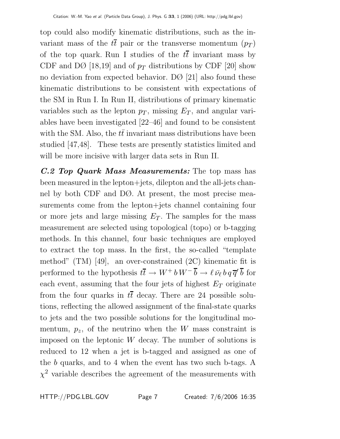top could also modify kinematic distributions, such as the invariant mass of the  $t\bar{t}$  pair or the transverse momentum  $(p_T)$ of the top quark. Run I studies of the  $t\bar{t}$  invariant mass by CDF and DØ [18,19] and of  $p_T$  distributions by CDF [20] show no deviation from expected behavior. DØ [21] also found these kinematic distributions to be consistent with expectations of the SM in Run I. In Run II, distributions of primary kinematic variables such as the lepton  $p<sub>T</sub>$ , missing  $E<sub>T</sub>$ , and angular variables have been investigated [22–46] and found to be consistent with the SM. Also, the  $t\bar{t}$  invariant mass distributions have been studied [47,48]. These tests are presently statistics limited and will be more incisive with larger data sets in Run II.

*C.2 Top Quark Mass Measurements:* The top mass has been measured in the lepton+jets, dilepton and the all-jets channel by both CDF and DØ. At present, the most precise measurements come from the lepton+jets channel containing four or more jets and large missing  $E_T$ . The samples for the mass measurement are selected using topological (topo) or b-tagging methods. In this channel, four basic techniques are employed to extract the top mass. In the first, the so-called "template method" (TM) [49], an over-constrained (2C) kinematic fit is performed to the hypothesis  $t\bar{t} \to W^+ b \, W^- \, \overline{b} \to \ell \, \bar{\nu_\ell} \, b \, q \, \overline{q}' \, \overline{b}$  for each event, assuming that the four jets of highest  $E_T$  originate from the four quarks in  $t\bar{t}$  decay. There are 24 possible solutions, reflecting the allowed assignment of the final-state quarks to jets and the two possible solutions for the longitudinal momentum,  $p_z$ , of the neutrino when the W mass constraint is imposed on the leptonic  $W$  decay. The number of solutions is reduced to 12 when a jet is b-tagged and assigned as one of the b quarks, and to 4 when the event has two such b-tags. A  $\chi^2$  variable describes the agreement of the measurements with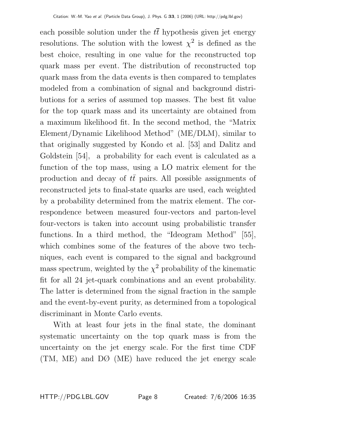each possible solution under the  $t\bar{t}$  hypothesis given jet energy resolutions. The solution with the lowest  $\chi^2$  is defined as the best choice, resulting in one value for the reconstructed top quark mass per event. The distribution of reconstructed top quark mass from the data events is then compared to templates modeled from a combination of signal and background distributions for a series of assumed top masses. The best fit value for the top quark mass and its uncertainty are obtained from a maximum likelihood fit. In the second method, the "Matrix Element/Dynamic Likelihood Method" (ME/DLM), similar to that originally suggested by Kondo et al. [53] and Dalitz and Goldstein [54], a probability for each event is calculated as a function of the top mass, using a LO matrix element for the production and decay of  $t\bar{t}$  pairs. All possible assignments of reconstructed jets to final-state quarks are used, each weighted by a probability determined from the matrix element. The correspondence between measured four-vectors and parton-level four-vectors is taken into account using probabilistic transfer functions. In a third method, the "Ideogram Method" [55], which combines some of the features of the above two techniques, each event is compared to the signal and background mass spectrum, weighted by the  $\chi^2$  probability of the kinematic fit for all 24 jet-quark combinations and an event probability. The latter is determined from the signal fraction in the sample and the event-by-event purity, as determined from a topological discriminant in Monte Carlo events.

With at least four jets in the final state, the dominant systematic uncertainty on the top quark mass is from the uncertainty on the jet energy scale. For the first time CDF (TM, ME) and DØ (ME) have reduced the jet energy scale

HTTP://PDG.LBL.GOV Page 8 Created: 7/6/2006 16:35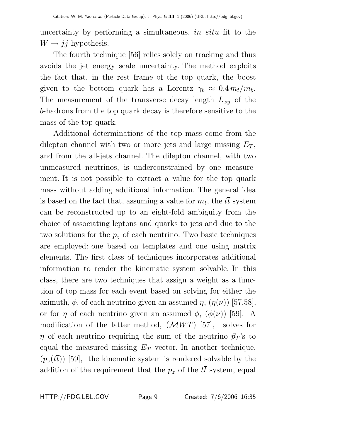uncertainty by performing a simultaneous, in situ fit to the  $W \rightarrow jj$  hypothesis.

The fourth technique [56] relies solely on tracking and thus avoids the jet energy scale uncertainty. The method exploits the fact that, in the rest frame of the top quark, the boost given to the bottom quark has a Lorentz  $\gamma_b \approx 0.4 \, m_t/m_b$ . The measurement of the transverse decay length  $L_{xy}$  of the b-hadrons from the top quark decay is therefore sensitive to the mass of the top quark.

Additional determinations of the top mass come from the dilepton channel with two or more jets and large missing  $E_T$ , and from the all-jets channel. The dilepton channel, with two unmeasured neutrinos, is underconstrained by one measurement. It is not possible to extract a value for the top quark mass without adding additional information. The general idea is based on the fact that, assuming a value for  $m_t$ , the  $t\bar{t}$  system can be reconstructed up to an eight-fold ambiguity from the choice of associating leptons and quarks to jets and due to the two solutions for the  $p<sub>z</sub>$  of each neutrino. Two basic techniques are employed: one based on templates and one using matrix elements. The first class of techniques incorporates additional information to render the kinematic system solvable. In this class, there are two techniques that assign a weight as a function of top mass for each event based on solving for either the azimuth,  $\phi$ , of each neutrino given an assumed  $\eta$ ,  $(\eta(\nu))$  [57,58], or for  $\eta$  of each neutrino given an assumed  $\phi$ ,  $(\phi(\nu))$  [59]. A modification of the latter method,  $(\mathcal{M}WT)$  [57], solves for  $\eta$  of each neutrino requiring the sum of the neutrino  $\vec{p}_T$ 's to equal the measured missing  $E_T$  vector. In another technique,  $(p_z(t\bar{t}))$  [59], the kinematic system is rendered solvable by the addition of the requirement that the  $p_z$  of the  $t\bar{t}$  system, equal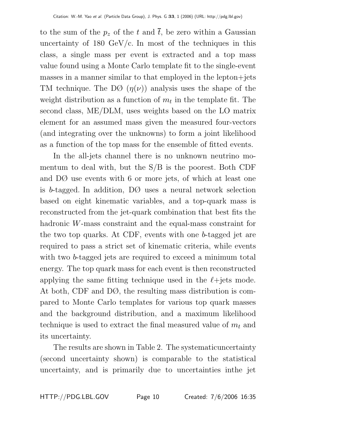to the sum of the  $p_z$  of the t and  $\bar{t}$ , be zero within a Gaussian uncertainty of  $180 \text{ GeV/c}$ . In most of the techniques in this class, a single mass per event is extracted and a top mass value found using a Monte Carlo template fit to the single-event masses in a manner similar to that employed in the lepton+jets TM technique. The DØ  $(\eta(\nu))$  analysis uses the shape of the weight distribution as a function of  $m_t$  in the template fit. The second class, ME/DLM, uses weights based on the LO matrix element for an assumed mass given the measured four-vectors (and integrating over the unknowns) to form a joint likelihood as a function of the top mass for the ensemble of fitted events.

In the all-jets channel there is no unknown neutrino momentum to deal with, but the S/B is the poorest. Both CDF and DØ use events with 6 or more jets, of which at least one is b-tagged. In addition, DØ uses a neural network selection based on eight kinematic variables, and a top-quark mass is reconstructed from the jet-quark combination that best fits the hadronic W-mass constraint and the equal-mass constraint for the two top quarks. At CDF, events with one b-tagged jet are required to pass a strict set of kinematic criteria, while events with two b-tagged jets are required to exceed a minimum total energy. The top quark mass for each event is then reconstructed applying the same fitting technique used in the  $\ell$ +jets mode. At both, CDF and DØ, the resulting mass distribution is compared to Monte Carlo templates for various top quark masses and the background distribution, and a maximum likelihood technique is used to extract the final measured value of  $m_t$  and its uncertainty.

The results are shown in Table 2. The systematicuncertainty (second uncertainty shown) is comparable to the statistical uncertainty, and is primarily due to uncertainties inthe jet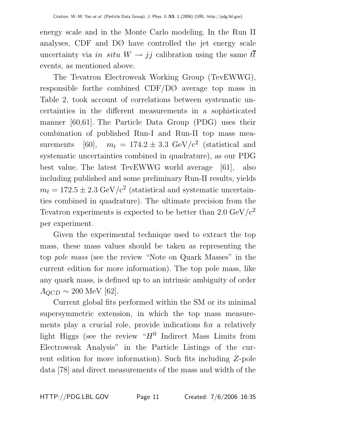energy scale and in the Monte Carlo modeling. In the Run II analyses, CDF and DØ have controlled the jet energy scale uncertainty via in situ  $W \rightarrow jj$  calibration using the same  $t\bar{t}$ events, as mentioned above.

The Tevatron Electroweak Working Group (TevEWWG), responsible forthe combined CDF/DØ average top mass in Table 2, took account of correlations between systematic uncertainties in the different measurements in a sophisticated manner [60,61]. The Particle Data Group (PDG) uses their combination of published Run-I and Run-II top mass measurements [60],  $m_t = 174.2 \pm 3.3$  GeV/c<sup>2</sup> (statistical and systematic uncertainties combined in quadrature), as our PDG best value. The latest TevEWWG world average [61], also including published and some preliminary Run-II results, yields  $m_t = 172.5 \pm 2.3$  GeV/c<sup>2</sup> (statistical and systematic uncertainties combined in quadrature). The ultimate precision from the Tevatron experiments is expected to be better than  $2.0 \text{ GeV}/c^2$ per experiment.

Given the experimental technique used to extract the top mass, these mass values should be taken as representing the top pole mass (see the review "Note on Quark Masses" in the current edition for more information). The top pole mass, like any quark mass, is defined up to an intrinsic ambiguity of order  $A_{QCD} \sim 200$  MeV [62].

Current global fits performed within the SM or its minimal supersymmetric extension, in which the top mass measurements play a crucial role, provide indications for a relatively light Higgs (see the review " $H^0$  Indirect Mass Limits from Electroweak Analysis" in the Particle Listings of the current edition for more information). Such fits including Z-pole data [78] and direct measurements of the mass and width of the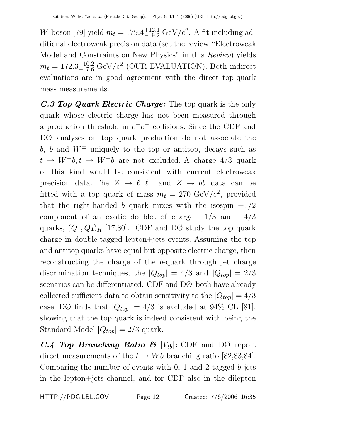W-boson [79] yield  $m_t = 179.4^{+12.1}_{-9.2} \text{ GeV}/c^2$ . A fit including additional electroweak precision data (see the review "Electroweak Model and Constraints on New Physics" in this Review) yields  $m_t = 172.3^{+10.2}_{-7.6} \text{ GeV}/c^2$  (OUR EVALUATION). Both indirect evaluations are in good agreement with the direct top-quark mass measurements.

*C.3 Top Quark Electric Charge:* The top quark is the only quark whose electric charge has not been measured through a production threshold in  $e^+e^-$  collisions. Since the CDF and DØ analyses on top quark production do not associate the b,  $\bar{b}$  and  $W^{\pm}$  uniquely to the top or antitop, decays such as  $t \rightarrow W^+ \bar{b}, \bar{t} \rightarrow W^- b$  are not excluded. A charge 4/3 quark of this kind would be consistent with current electroweak precision data. The  $Z \to \ell^+\ell^-$  and  $Z \to b\bar{b}$  data can be fitted with a top quark of mass  $m_t = 270 \text{ GeV}/c^2$ , provided that the right-handed b quark mixes with the isospin  $+1/2$ component of an exotic doublet of charge  $-1/3$  and  $-4/3$ quarks,  $(Q_1, Q_4)_R$  [17,80]. CDF and DØ study the top quark charge in double-tagged lepton+jets events. Assuming the top and antitop quarks have equal but opposite electric charge, then reconstructing the charge of the b-quark through jet charge discrimination techniques, the  $|Q_{top}| = 4/3$  and  $|Q_{top}| = 2/3$ scenarios can be differentiated. CDF and DØ both have already collected sufficient data to obtain sensitivity to the  $|Q_{top}| = 4/3$ case. DØ finds that  $|Q_{top}| = 4/3$  is excluded at 94% CL [81], showing that the top quark is indeed consistent with being the Standard Model  $|Q_{top}| = 2/3$  quark.

 $C.4$  Top Branching Ratio  $\mathcal{B}$   $|V_{tb}|$ : CDF and DØ report direct measurements of the  $t \to Wb$  branching ratio [82,83,84]. Comparing the number of events with 0, 1 and 2 tagged b jets in the lepton+jets channel, and for CDF also in the dilepton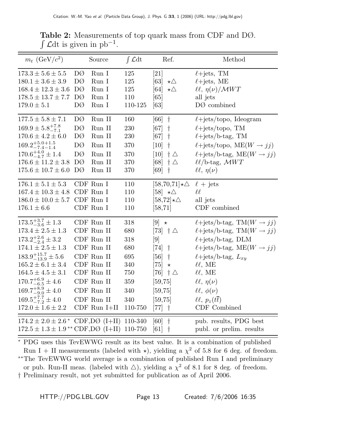| $m_t$ (GeV/ $c^2$ )                                 |    | Source                        | $\int \mathcal{L} dt$ | Ref.                                             | Method                                                  |
|-----------------------------------------------------|----|-------------------------------|-----------------------|--------------------------------------------------|---------------------------------------------------------|
| $173.3 \pm 5.6 \pm 5.5$                             | DØ | Run I                         | 125                   | [21]                                             | $\ell$ +jets, TM                                        |
| $180.1 \pm 3.6 \pm 3.9$                             | DØ | Run I                         | 125                   | [63]<br>$\star \triangle$                        | $\ell$ +jets, ME                                        |
| $168.4 \pm 12.3 \pm 3.6$                            | DØ | Run I                         | 125                   | [64]<br>$\star \triangle$                        | $\ell\ell, \eta(\nu)/\mathcal{M}WT$                     |
| $178.5 \pm 13.7 \pm 7.7$                            | DØ | Run I                         | 110                   | [65]                                             | all jets                                                |
| $179.0 \pm 5.1$                                     | DØ | Run I                         | 110-125               | [63]                                             | $DØ$ combined                                           |
| $177.5 \pm 5.8 \pm 7.1$                             | DØ | Run II                        | 160                   | $\dagger$<br>[66]                                | $\ell$ +jets/topo, Ideogram                             |
| $169.9 \pm 5.8^{+7.8}_{-7.1}$                       | DØ | Run II                        | 230                   | [67]<br>$\dagger$                                | $\ell$ +jets/topo, TM                                   |
| $170.6 \pm 4.2 \pm 6.0$                             | DØ | Run II                        | 230                   | $\dagger$<br>[67]                                | $\ell$ +jets/b-tag, TM                                  |
| $169.2^{+5.0+1.5}_{-7.4-1.4}$                       | DØ | Run II                        | 370                   | $\dagger$<br>[10]                                | $\ell$ +jets/topo, ME $(W \rightarrow jj)$              |
| $170.6^{+4.0}_{-4.7} \pm 1.4$                       | DØ | Run II                        | 370                   | $\dagger \triangle$<br>[10]                      | $\ell + \text{jets/b-tag}, \text{ME}(W \rightarrow jj)$ |
| $176.6 \pm 11.2 \pm 3.8$                            | DØ | Run II                        | 370                   | $[68]$ $\uparrow \triangle$                      | $\ell\ell$ /b-tag, $\mathcal{M}WT$                      |
| $175.6 \pm 10.7 \pm 6.0$                            | DØ | Run II                        | 370                   | [69]<br>$\dagger$                                | $\ell\ell, \eta(\nu)$                                   |
| $176.1 \pm 5.1 \pm 5.3$                             |    | CDF Run I                     | 110                   | $[58,70,71] \star \triangle$                     | $\ell$ + jets                                           |
| $167.4 \pm 10.3 \pm 4.8$                            |    | CDF Run I                     | 110                   | $[58]$ $\star\Delta$                             | $\ell\ell$                                              |
| $186.0 \pm 10.0 \pm 5.7$                            |    | CDF Run I                     | 110                   | $[58,72]\star\triangle$                          | all jets                                                |
| $176.1 \pm 6.6$                                     |    | CDF Run I                     | 110                   | [58, 71]                                         | CDF combined                                            |
| $173.5^{+3.7}_{-3.6} \pm 1.3$                       |    | CDF Run II                    | 318                   | $[9] \star$                                      | $\ell + \text{jets/b-tag}, \text{TM}(W \rightarrow jj)$ |
| $173.4 \pm 2.5 \pm 1.3$                             |    | CDF Run II                    | 680                   | $\begin{bmatrix} 73 \end{bmatrix}$ + $\triangle$ | $\ell + \text{jets/b-tag}, \text{TM}(W \rightarrow jj)$ |
| $173.2^{+2.6}_{-2.4} \pm 3.2$                       |    | CDF Run II                    | 318                   | [9]                                              | $\ell$ +jets/b-tag, DLM                                 |
| $174.1 \pm 2.5 \pm 1.3$                             |    | CDF Run II                    | 680                   | [74]<br>$\dagger$                                | $\ell + \text{jets/b-tag}, \text{ME}(W \rightarrow jj)$ |
| $183.9^{+15.7}_{-13.9} \pm 5.6$                     |    | CDF Run II                    | 695                   | $\dagger$<br>[56]                                | $\ell$ +jets/b-tag, $L_{xy}$                            |
| $165.2 \pm 6.1 \pm 3.4$                             |    | CDF Run II                    | 340                   | $\left[ 75\right]$<br>$\star$                    | $\ell\ell$ , ME                                         |
| $164.5 \pm 4.5 \pm 3.1$                             |    | CDF Run II                    | 750                   | $\dagger \triangle$<br>$[76]$                    | $\ell\ell$ , ME                                         |
| $170.7^{+6.9}_{-6.5} \pm 4.6$                       |    | CDF Run II                    | 359                   | [59, 75]                                         | $\ell\ell, \eta(\nu)$                                   |
| $169.7^{+8.9}_{-9.0} \pm 4.0$                       |    | CDF Run II                    | 340                   | [59, 75]                                         | $\ell\ell, \phi(\nu)$                                   |
| $169.5^{+7.7}_{-7.2} \pm 4.0$                       |    | CDF Run II                    | 340                   | [59, 75]                                         | $\ell\ell, p_z(t\overline{t})$                          |
| $172.0 \pm 1.6 \pm 2.2$                             |    | $\operatorname{CDF}$ Run I+II | 110-750               | $[77]$<br>$\dagger$                              | CDF Combined                                            |
| $174.2 \pm 2.0 \pm 2.6$ * CDF,DØ (I+II) 110-340     |    |                               |                       | $\dagger$<br>[60]                                | pub. results, PDG best                                  |
| $172.5 \pm 1.3 \pm 1.9$ <sup>**</sup> CDF,DØ (I+II) |    |                               | 110-750               | [61]<br>$\dagger$                                | publ. or prelim. results                                |

**Table 2:** Measurements of top quark mass from CDF and DØ.  $\int \mathcal{L} dt$  is given in pb<sup>-1</sup>.

<sup>∗</sup> PDG uses this TevEWWG result as its best value. It is a combination of published Run I + II measurements (labeled with  $\star$ ), yielding a  $\chi^2$  of 5.8 for 6 deg. of freedom. ∗∗The TevEWWG world average is a combination of published Run I and preliminary or pub. Run-II meas. (labeled with  $\triangle$ ), yielding a  $\chi^2$  of 8.1 for 8 deg. of freedom. † Preliminary result, not yet submitted for publication as of April 2006.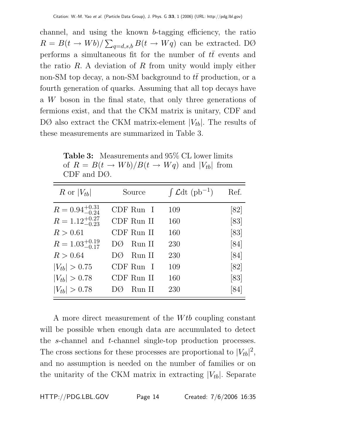channel, and using the known b-tagging efficiency, the ratio  $R = B(t \to Wb)/\sum_{q=d,s,b} B(t \to Wq)$  can be extracted. DØ performs a simultaneous fit for the number of  $t\bar{t}$  events and the ratio  $R$ . A deviation of  $R$  from unity would imply either non-SM top decay, a non-SM background to  $t\bar{t}$  production, or a fourth generation of quarks. Assuming that all top decays have a W boson in the final state, that only three generations of fermions exist, and that the CKM matrix is unitary, CDF and DØ also extract the CKM matrix-element  $|V_{tb}|$ . The results of these measurements are summarized in Table 3.

| R or $ V_{tb} $            | Source        | $\int \mathcal{L} dt$ (pb <sup>-1</sup> ) | Ref. |
|----------------------------|---------------|-------------------------------------------|------|
| $R = 0.94_{-0.24}^{+0.31}$ | CDF Run I     | 109                                       | [82] |
| $R = 1.12^{+0.27}_{-0.23}$ | CDF Run II    | 160                                       | [83] |
| R > 0.61                   | CDF Run II    | 160                                       | [83] |
| $R = 1.03_{-0.17}^{+0.19}$ | Run II<br>DØ. | 230                                       | [84] |
| R > 0.64                   | Run II<br>DØ. | 230                                       | [84] |
| $ V_{tb}  > 0.75$          | CDF Run I     | 109                                       | [82] |
| $ V_{tb}  > 0.78$          | CDF Run II    | 160                                       | [83] |
| $ V_{tb}  > 0.78$          | Run II<br>DQ  | 230                                       | [84] |

**Table 3:** Measurements and 95% CL lower limits of  $R = B(t \rightarrow Wb)/B(t \rightarrow Wq)$  and  $|V_{tb}|$  from CDF and DØ.

A more direct measurement of the *W<sub>tb</sub>* coupling constant will be possible when enough data are accumulated to detect the s-channel and t-channel single-top production processes. The cross sections for these processes are proportional to  $|V_{tb}|^2$ , and no assumption is needed on the number of families or on the unitarity of the CKM matrix in extracting  $|V_{tb}|$ . Separate

HTTP://PDG.LBL.GOV Page 14 Created: 7/6/2006 16:35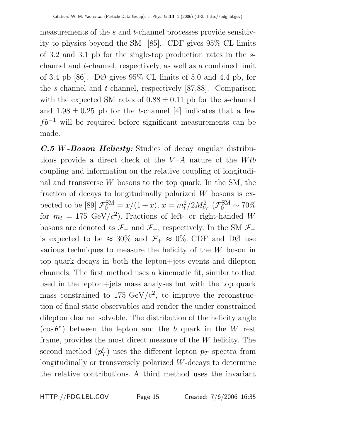measurements of the s and t-channel processes provide sensitivity to physics beyond the SM [85]. CDF gives 95% CL limits of 3.2 and 3.1 pb for the single-top production rates in the schannel and t-channel, respectively, as well as a combined limit of 3.4 pb [86]. DØ gives 95% CL limits of 5.0 and 4.4 pb, for the s-channel and t-channel, respectively [87,88]. Comparison with the expected SM rates of  $0.88 \pm 0.11$  pb for the s-channel and  $1.98 \pm 0.25$  pb for the *t*-channel [4] indicates that a few  $fb^{-1}$  will be required before significant measurements can be made.

*C.5* W*-Boson Helicity:* Studies of decay angular distributions provide a direct check of the  $V-A$  nature of the Wtb coupling and information on the relative coupling of longitudinal and transverse  $W$  bosons to the top quark. In the SM, the fraction of decays to longitudinally polarized  $W$  bosons is expected to be [89]  $\mathcal{F}_0^{\text{SM}} = x/(1+x), x = m_t^2/2M_W^2 \; (\mathcal{F}_0^{\text{SM}} \sim 70\%)$ for  $m_t = 175 \text{ GeV}/c^2$ . Fractions of left- or right-handed W bosons are denoted as  $\mathcal{F}_-$  and  $\mathcal{F}_+$ , respectively. In the SM  $\mathcal{F}_$ is expected to be  $\approx 30\%$  and  $\mathcal{F}_+ \approx 0\%$ . CDF and DØ use various techniques to measure the helicity of the W boson in top quark decays in both the lepton+jets events and dilepton channels. The first method uses a kinematic fit, similar to that used in the lepton+jets mass analyses but with the top quark mass constrained to 175 GeV/ $c^2$ , to improve the reconstruction of final state observables and render the under-constrained dilepton channel solvable. The distribution of the helicity angle  $(\cos \theta^*)$  between the lepton and the b quark in the W rest frame, provides the most direct measure of the W helicity. The second method  $(p_T^{\ell})$  uses the different lepton  $p_T$  spectra from longitudinally or transversely polarized W-decays to determine the relative contributions. A third method uses the invariant

HTTP://PDG.LBL.GOV Page 15 Created: 7/6/2006 16:35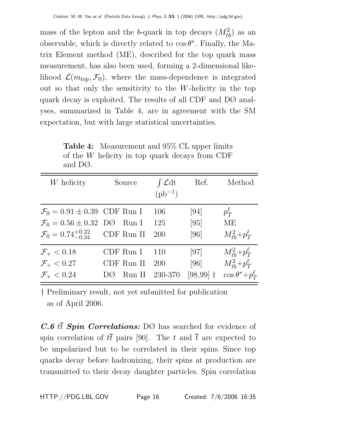mass of the lepton and the b-quark in top decays  $(M_{\ell b}^2)$  as an observable, which is directly related to  $\cos \theta^*$ . Finally, the Matrix Element method (ME), described for the top quark mass measurement, has also been used, forming a 2-dimensional likelihood  $\mathcal{L}(m_{top}, \mathcal{F}_0)$ , where the mass-dependence is integrated out so that only the sensitivity to the W-helicity in the top quark decay is exploited. The results of all CDF and DØ analyses, summarized in Table 4, are in agreement with the SM expectation, but with large statistical uncertainties.

W helicity Source  $\int \mathcal{L} dt$  Ref. Method  $(pb^{-1})$  $\mathcal{F}_0 = 0.91 \pm 0.39$  CDF Run I 106 [94]  $p_T^{\ell}$  $\mathcal{F}_0 = 0.56 \pm 0.32$  DØ Run I 125 [95] ME  $\mathcal{F}_0 = 0.74^{+0.22}_{-0.34}$  CDF Run II 200 [96]  $\frac{2}{\ell b}+p_T^{\ell}$  $\mathcal{F}_{+} < 0.18$  CDF Run I 110 [97]  $\frac{2}{\ell b}+p_T^{\ell}$  $\mathcal{F}_+ < 0.27$  CDF Run II 200 [96]  $\tilde{\ell}_b^2+p_T^{\ell}$  $\mathcal{F}_{+} < 0.24$  DØ Run II 230-370 [98,99] †  $\cos \theta^* + p_T^{\ell}$ 

**Table 4:** Measurement and 95% CL upper limits of the W helicity in top quark decays from CDF and DØ.

† Preliminary result, not yet submitted for publication as of April 2006.

 $C.6$  it **Spin Correlations:** DØ has searched for evidence of spin correlation of  $t\bar{t}$  pairs [90]. The t and  $\bar{t}$  are expected to be unpolarized but to be correlated in their spins. Since top quarks decay before hadronizing, their spins at production are transmitted to their decay daughter particles. Spin correlation

HTTP://PDG.LBL.GOV Page 16 Created: 7/6/2006 16:35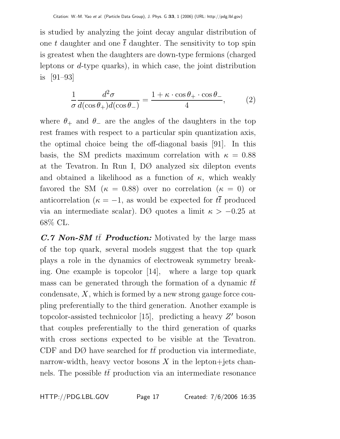is studied by analyzing the joint decay angular distribution of one t daughter and one  $\bar{t}$  daughter. The sensitivity to top spin is greatest when the daughters are down-type fermions (charged leptons or  $d$ -type quarks), in which case, the joint distribution is [91–93]

$$
\frac{1}{\sigma} \frac{d^2 \sigma}{d(\cos \theta_+) d(\cos \theta_-)} = \frac{1 + \kappa \cdot \cos \theta_+ \cdot \cos \theta_-}{4},\tag{2}
$$

where  $\theta_+$  and  $\theta_-$  are the angles of the daughters in the top rest frames with respect to a particular spin quantization axis, the optimal choice being the off-diagonal basis [91]. In this basis, the SM predicts maximum correlation with  $\kappa = 0.88$ at the Tevatron. In Run I, DØ analyzed six dilepton events and obtained a likelihood as a function of  $\kappa$ , which weakly favored the SM ( $\kappa = 0.88$ ) over no correlation ( $\kappa = 0$ ) or anticorrelation ( $\kappa = -1$ , as would be expected for  $t\bar{t}$  produced via an intermediate scalar). DØ quotes a limit  $\kappa > -0.25$  at 68% CL.

 $C.7$  *Non-SM*  $t\bar{t}$  *Production:* Motivated by the large mass of the top quark, several models suggest that the top quark plays a role in the dynamics of electroweak symmetry breaking. One example is topcolor [14], where a large top quark mass can be generated through the formation of a dynamic  $t\bar{t}$ condensate,  $X$ , which is formed by a new strong gauge force coupling preferentially to the third generation. Another example is topcolor-assisted technicolor [15], predicting a heavy  $Z'$  boson that couples preferentially to the third generation of quarks with cross sections expected to be visible at the Tevatron. CDF and DØ have searched for  $t\bar{t}$  production via intermediate, narrow-width, heavy vector bosons  $X$  in the lepton+jets channels. The possible  $t\bar{t}$  production via an intermediate resonance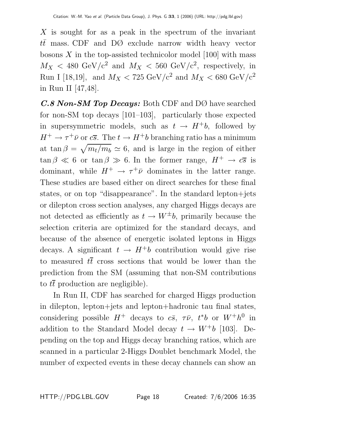X is sought for as a peak in the spectrum of the invariant  $t\bar{t}$  mass. CDF and DØ exclude narrow width heavy vector bosons  $X$  in the top-assisted technicolor model [100] with mass  $M_X < 480 \text{ GeV}/c^2$  and  $M_X < 560 \text{ GeV}/c^2$ , respectively, in Run I [18,19], and  $M_X < 725 \text{ GeV}/c^2$  and  $M_X < 680 \text{ GeV}/c^2$ in Run II [47,48].

*C.8 Non-SM Top Decays:* Both CDF and DØ have searched for non-SM top decays [101–103], particularly those expected in supersymmetric models, such as  $t \to H^+b$ , followed by  $H^+ \to \tau^+ \bar{\nu}$  or  $c\bar{s}$ . The  $t \to H^+ b$  branching ratio has a minimum at tan  $\beta = \sqrt{m_t/m_b} \simeq 6$ , and is large in the region of either  $\tan \beta \ll 6$  or  $\tan \beta \gg 6$ . In the former range,  $H^+ \to c\overline{s}$  is dominant, while  $H^+ \rightarrow \tau^+ \bar{\nu}$  dominates in the latter range. These studies are based either on direct searches for these final states, or on top "disappearance". In the standard lepton+jets or dilepton cross section analyses, any charged Higgs decays are not detected as efficiently as  $t \to W^{\pm}b$ , primarily because the selection criteria are optimized for the standard decays, and because of the absence of energetic isolated leptons in Higgs decays. A significant  $t \to H^+b$  contribution would give rise to measured  $t\bar{t}$  cross sections that would be lower than the prediction from the SM (assuming that non-SM contributions to  $t\bar{t}$  production are negligible).

In Run II, CDF has searched for charged Higgs production in dilepton, lepton+jets and lepton+hadronic tau final states, considering possible  $H^+$  decays to  $c\bar{s}$ ,  $\tau\bar{\nu}$ ,  $t^*b$  or  $W^+h^0$  in addition to the Standard Model decay  $t \to W^+b$  [103]. Depending on the top and Higgs decay branching ratios, which are scanned in a particular 2-Higgs Doublet benchmark Model, the number of expected events in these decay channels can show an

HTTP://PDG.LBL.GOV Page 18 Created: 7/6/2006 16:35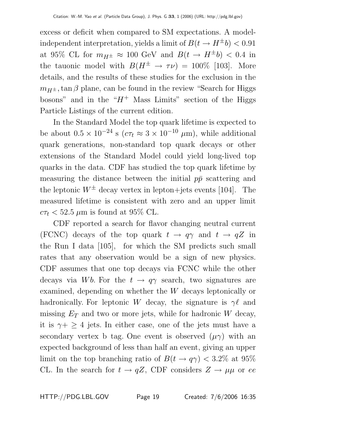excess or deficit when compared to SM expectations. A modelindependent interpretation, yields a limit of  $B(t \rightarrow H^{\pm} b) < 0.91$ at 95% CL for  $m_{H^{\pm}} \approx 100$  GeV and  $B(t \to H^{\pm}b) < 0.4$  in the tauonic model with  $B(H^{\pm} \to \tau \nu) = 100\%$  [103]. More details, and the results of these studies for the exclusion in the  $m_{H^{\pm}}$ , tan β plane, can be found in the review "Search for Higgs bosons" and in the " $H^+$  Mass Limits" section of the Higgs Particle Listings of the current edition.

In the Standard Model the top quark lifetime is expected to be about  $0.5 \times 10^{-24}$  s  $(c\tau_t \approx 3 \times 10^{-10} \mu \text{m})$ , while additional quark generations, non-standard top quark decays or other extensions of the Standard Model could yield long-lived top quarks in the data. CDF has studied the top quark lifetime by measuring the distance between the initial  $p\bar{p}$  scattering and the leptonic  $W^{\pm}$  decay vertex in lepton+jets events [104]. The measured lifetime is consistent with zero and an upper limit  $c\tau_t$  < 52.5  $\mu$ m is found at 95% CL.

CDF reported a search for flavor changing neutral current (FCNC) decays of the top quark  $t \to q\gamma$  and  $t \to qZ$  in the Run I data [105], for which the SM predicts such small rates that any observation would be a sign of new physics. CDF assumes that one top decays via FCNC while the other decays via Wb. For the  $t \to q\gamma$  search, two signatures are examined, depending on whether the W decays leptonically or hadronically. For leptonic W decay, the signature is  $\gamma\ell$  and missing  $E_T$  and two or more jets, while for hadronic W decay, it is  $\gamma + \geq 4$  jets. In either case, one of the jets must have a secondary vertex b tag. One event is observed  $(\mu \gamma)$  with an expected background of less than half an event, giving an upper limit on the top branching ratio of  $B(t \to q\gamma) < 3.2\%$  at 95% CL. In the search for  $t \to qZ$ , CDF considers  $Z \to \mu\mu$  or ee

HTTP://PDG.LBL.GOV Page 19 Created: 7/6/2006 16:35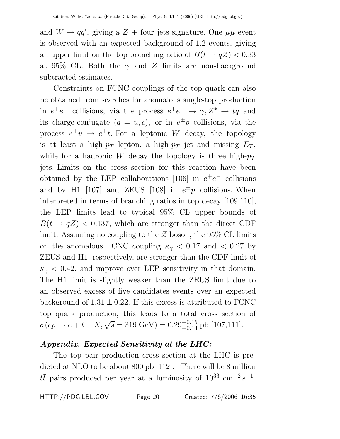and  $W \to qq'$ , giving a  $Z +$  four jets signature. One  $\mu\mu$  event is observed with an expected background of 1.2 events, giving an upper limit on the top branching ratio of  $B(t \rightarrow qZ) < 0.33$ at 95% CL. Both the  $\gamma$  and Z limits are non-background subtracted estimates.

Constraints on FCNC couplings of the top quark can also be obtained from searches for anomalous single-top production in  $e^+e^-$  collisions, via the process  $e^+e^- \rightarrow \gamma, Z^* \rightarrow t\overline{q}$  and its charge-conjugate  $(q = u, c)$ , or in  $e^{\pm}p$  collisions, via the process  $e^{\pm}u \rightarrow e^{\pm}t$ . For a leptonic W decay, the topology is at least a high- $p_T$  lepton, a high- $p_T$  jet and missing  $E_T$ , while for a hadronic W decay the topology is three high- $p_T$ jets. Limits on the cross section for this reaction have been obtained by the LEP collaborations [106] in  $e^+e^-$  collisions and by H1 [107] and ZEUS [108] in  $e^{\pm}p$  collisions. When interpreted in terms of branching ratios in top decay [109,110], the LEP limits lead to typical 95% CL upper bounds of  $B(t \rightarrow qZ)$  < 0.137, which are stronger than the direct CDF limit. Assuming no coupling to the Z boson, the 95% CL limits on the anomalous FCNC coupling  $\kappa_{\gamma}$  < 0.17 and < 0.27 by ZEUS and H1, respectively, are stronger than the CDF limit of  $\kappa_{\gamma}$  < 0.42, and improve over LEP sensitivity in that domain. The H1 limit is slightly weaker than the ZEUS limit due to an observed excess of five candidates events over an expected background of  $1.31 \pm 0.22$ . If this excess is attributed to FCNC top quark production, this leads to a total cross section of  $\sigma(ep \rightarrow e + t + X, \sqrt{s} = 319 \text{ GeV}) = 0.29_{-0.14}^{+0.15} \text{ pb } [107,111].$ 

# *Appendix. Expected Sensitivity at the LHC:*

The top pair production cross section at the LHC is predicted at NLO to be about 800 pb [112]. There will be 8 million  $t\bar{t}$  pairs produced per year at a luminosity of  $10^{33}$  cm<sup>-2</sup> s<sup>-1</sup>.

HTTP://PDG.LBL.GOV Page 20 Created: 7/6/2006 16:35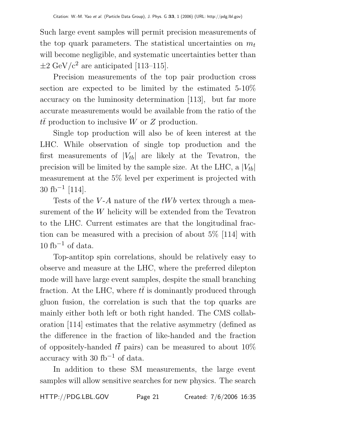Such large event samples will permit precision measurements of the top quark parameters. The statistical uncertainties on  $m_t$ will become negligible, and systematic uncertainties better than  $\pm 2 \text{ GeV}/c^2$  are anticipated [113–115].

Precision measurements of the top pair production cross section are expected to be limited by the estimated 5-10% accuracy on the luminosity determination [113], but far more accurate measurements would be available from the ratio of the  $t\bar{t}$  production to inclusive W or Z production.

Single top production will also be of keen interest at the LHC. While observation of single top production and the first measurements of  $|V_{tb}|$  are likely at the Tevatron, the precision will be limited by the sample size. At the LHC, a  $|V_{tb}|$ measurement at the 5% level per experiment is projected with 30 fb<sup>-1</sup> [114].

Tests of the V-A nature of the  $tWb$  vertex through a measurement of the W helicity will be extended from the Tevatron to the LHC. Current estimates are that the longitudinal fraction can be measured with a precision of about 5% [114] with  $10$  fb<sup>-1</sup> of data.

Top-antitop spin correlations, should be relatively easy to observe and measure at the LHC, where the preferred dilepton mode will have large event samples, despite the small branching fraction. At the LHC, where  $t\bar{t}$  is dominantly produced through gluon fusion, the correlation is such that the top quarks are mainly either both left or both right handed. The CMS collaboration [114] estimates that the relative asymmetry (defined as the difference in the fraction of like-handed and the fraction of oppositely-handed  $t\bar{t}$  pairs) can be measured to about 10% accuracy with 30 fb<sup>-1</sup> of data.

In addition to these SM measurements, the large event samples will allow sensitive searches for new physics. The search

HTTP://PDG.LBL.GOV Page 21 Created: 7/6/2006 16:35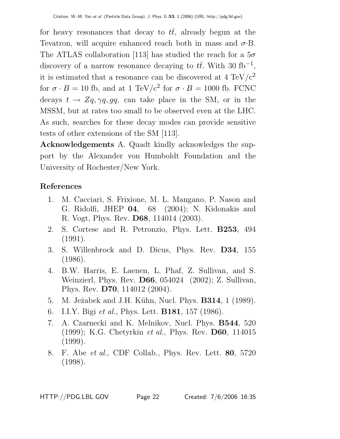for heavy resonances that decay to  $t\bar{t}$ , already begun at the Tevatron, will acquire enhanced reach both in mass and  $\sigma$ . B. The ATLAS collaboration [113] has studied the reach for a  $5\sigma$ discovery of a narrow resonance decaying to  $t\bar{t}$ . With 30 fb<sup>-1</sup>, it is estimated that a resonance can be discovered at 4  $\rm TeV/c^2$ for  $\sigma \cdot B = 10$  fb, and at 1 TeV/c<sup>2</sup> for  $\sigma \cdot B = 1000$  fb. FCNC decays  $t \to Zq, \gamma q, gq$ , can take place in the SM, or in the MSSM, but at rates too small to be observed even at the LHC. As such, searches for these decay modes can provide sensitive tests of other extensions of the SM [113].

**Acknowledgements** A. Quadt kindly acknowledges the support by the Alexander von Humboldt Foundation and the University of Rochester/New York.

# **References**

- 1. M. Cacciari, S. Frixione, M. L. Mangano, P. Nason and G. Ridolfi, JHEP **04**, 68 (2004); N. Kidonakis and R. Vogt, Phys. Rev. **D68**, 114014 (2003).
- 2. S. Cortese and R. Petronzio, Phys. Lett. **B253**, 494 (1991).
- 3. S. Willenbrock and D. Dicus, Phys. Rev. **D34**, 155 (1986).
- 4. B.W. Harris, E. Laenen, L. Phaf, Z. Sullivan, and S. Weinzierl, Phys. Rev. **D66**, 054024 (2002); Z. Sullivan, Phys. Rev. **D70**, 114012 (2004).
- 5. M. Je˙zabek and J.H. K¨uhn, Nucl. Phys. **B314**, 1 (1989).
- 6. I.I.Y. Bigi et al., Phys. Lett. **B181**, 157 (1986).
- 7. A. Czarnecki and K. Melnikov, Nucl. Phys. **B544**, 520 (1999); K.G. Chetyrkin et al., Phys. Rev. **D60**, 114015 (1999).
- 8. F. Abe et al., CDF Collab., Phys. Rev. Lett. **80**, 5720 (1998).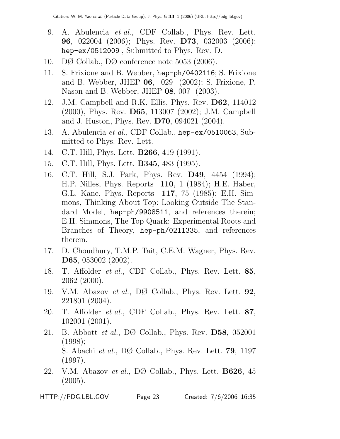- 9. A. Abulencia et al., CDF Collab., Phys. Rev. Lett. **96**, 022004 (2006); Phys. Rev. **D73**, 032003 (2006); hep-ex/0512009 , Submitted to Phys. Rev. D.
- 10. DØ Collab., DØ conference note 5053 (2006).
- 11. S. Frixione and B. Webber, hep-ph/0402116; S. Frixione and B. Webber, JHEP **06**, 029 (2002); S. Frixione, P. Nason and B. Webber, JHEP **08**, 007 (2003).
- 12. J.M. Campbell and R.K. Ellis, Phys. Rev. **D62**, 114012 (2000), Phys. Rev. **D65**, 113007 (2002); J.M. Campbell and J. Huston, Phys. Rev. **D70**, 094021 (2004).
- 13. A. Abulencia et al., CDF Collab., hep-ex/0510063, Submitted to Phys. Rev. Lett.
- 14. C.T. Hill, Phys. Lett. **B266**, 419 (1991).
- 15. C.T. Hill, Phys. Lett. **B345**, 483 (1995).
- 16. C.T. Hill, S.J. Park, Phys. Rev. **D49**, 4454 (1994); H.P. Nilles, Phys. Reports **110**, 1 (1984); H.E. Haber, G.L. Kane, Phys. Reports **117**, 75 (1985); E.H. Simmons, Thinking About Top: Looking Outside The Standard Model, hep-ph/9908511, and references therein; E.H. Simmons, The Top Quark: Experimental Roots and Branches of Theory, hep-ph/0211335, and references therein.
- 17. D. Choudhury, T.M.P. Tait, C.E.M. Wagner, Phys. Rev. **D65**, 053002 (2002).
- 18. T. Affolder et al., CDF Collab., Phys. Rev. Lett. **85**, 2062 (2000).
- 19. V.M. Abazov et al., DØ Collab., Phys. Rev. Lett. **92**, 221801 (2004).
- 20. T. Affolder et al., CDF Collab., Phys. Rev. Lett. **87**, 102001 (2001).
- 21. B. Abbott et al., DØ Collab., Phys. Rev. **D58**, 052001 (1998); S. Abachi et al., DØ Collab., Phys. Rev. Lett. **79**, 1197 (1997).
- 22. V.M. Abazov et al., DØ Collab., Phys. Lett. **B626**, 45 (2005).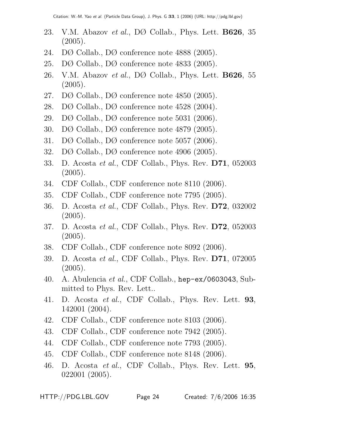- 23. V.M. Abazov et al., DØ Collab., Phys. Lett. **B626**, 35 (2005).
- 24. DØ Collab., DØ conference note 4888 (2005).
- 25. DØ Collab., DØ conference note 4833 (2005).
- 26. V.M. Abazov et al., DØ Collab., Phys. Lett. **B626**, 55 (2005).
- 27. DØ Collab., DØ conference note 4850 (2005).
- 28. DØ Collab., DØ conference note 4528 (2004).
- 29. DØ Collab., DØ conference note 5031 (2006).
- 30. DØ Collab., DØ conference note 4879 (2005).
- 31. DØ Collab., DØ conference note 5057 (2006).
- 32. DØ Collab., DØ conference note 4906 (2005).
- 33. D. Acosta et al., CDF Collab., Phys. Rev. **D71**, 052003 (2005).
- 34. CDF Collab., CDF conference note 8110 (2006).
- 35. CDF Collab., CDF conference note 7795 (2005).
- 36. D. Acosta et al., CDF Collab., Phys. Rev. **D72**, 032002  $(2005).$
- 37. D. Acosta et al., CDF Collab., Phys. Rev. **D72**, 052003 (2005).
- 38. CDF Collab., CDF conference note 8092 (2006).
- 39. D. Acosta et al., CDF Collab., Phys. Rev. **D71**, 072005 (2005).
- 40. A. Abulencia *et al.*, CDF Collab.,  $\text{hep-ex}/0603043$ , Submitted to Phys. Rev. Lett..
- 41. D. Acosta et al., CDF Collab., Phys. Rev. Lett. **93**, 142001 (2004).
- 42. CDF Collab., CDF conference note 8103 (2006).
- 43. CDF Collab., CDF conference note 7942 (2005).
- 44. CDF Collab., CDF conference note 7793 (2005).
- 45. CDF Collab., CDF conference note 8148 (2006).
- 46. D. Acosta et al., CDF Collab., Phys. Rev. Lett. **95**, 022001 (2005).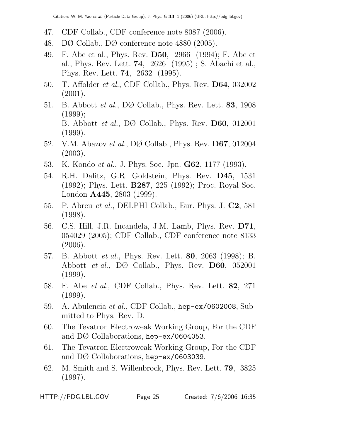- 47. CDF Collab., CDF conference note 8087 (2006).
- 48. DØ Collab., DØ conference note 4880 (2005).
- 49. F. Abe et al., Phys. Rev. **D50**, 2966 (1994); F. Abe et al., Phys. Rev. Lett. **74**, 2626 (1995) ; S. Abachi et al., Phys. Rev. Lett. **74**, 2632 (1995).
- 50. T. Affolder et al., CDF Collab., Phys. Rev. **D64**, 032002 (2001).
- 51. B. Abbott et al., DØ Collab., Phys. Rev. Lett. **83**, 1908 (1999); B. Abbott et al., DØ Collab., Phys. Rev. **D60**, 012001 (1999).
- 52. V.M. Abazov et al., DØ Collab., Phys. Rev. **D67**, 012004 (2003).
- 53. K. Kondo et al., J. Phys. Soc. Jpn. **G62**, 1177 (1993).
- 54. R.H. Dalitz, G.R. Goldstein, Phys. Rev. **D45**, 1531 (1992); Phys. Lett. **B287**, 225 (1992); Proc. Royal Soc. London **A445**, 2803 (1999).
- 55. P. Abreu et al., DELPHI Collab., Eur. Phys. J. **C2**, 581 (1998).
- 56. C.S. Hill, J.R. Incandela, J.M. Lamb, Phys. Rev. **D71**, 054029 (2005); CDF Collab., CDF conference note 8133 (2006).
- 57. B. Abbott et al., Phys. Rev. Lett. **80**, 2063 (1998); B. Abbott et al., DØ Collab., Phys. Rev. **D60**, 052001 (1999).
- 58. F. Abe et al., CDF Collab., Phys. Rev. Lett. **82**, 271 (1999).
- 59. A. Abulencia et al., CDF Collab., hep-ex/0602008, Submitted to Phys. Rev. D.
- 60. The Tevatron Electroweak Working Group, For the CDF and DØ Collaborations, hep-ex/0604053.
- 61. The Tevatron Electroweak Working Group, For the CDF and DØ Collaborations, hep-ex/0603039.
- 62. M. Smith and S. Willenbrock, Phys. Rev. Lett. **79**, 3825 (1997).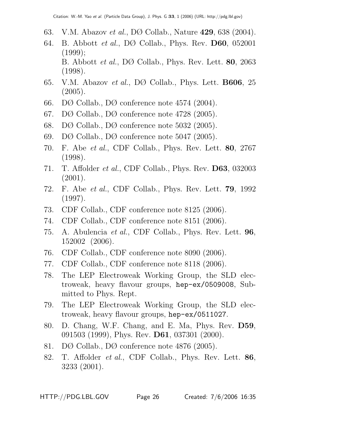- 63. V.M. Abazov et al., DØ Collab., Nature **429**, 638 (2004).
- 64. B. Abbott et al., DØ Collab., Phys. Rev. **D60**, 052001 (1999); B. Abbott et al., DØ Collab., Phys. Rev. Lett. **80**, 2063 (1998).
- 65. V.M. Abazov et al., DØ Collab., Phys. Lett. **B606**, 25 (2005).
- 66. DØ Collab., DØ conference note 4574 (2004).
- 67. DØ Collab., DØ conference note 4728 (2005).
- 68. DØ Collab., DØ conference note 5032 (2005).
- 69. DØ Collab., DØ conference note 5047 (2005).
- 70. F. Abe et al., CDF Collab., Phys. Rev. Lett. **80**, 2767 (1998).
- 71. T. Affolder et al., CDF Collab., Phys. Rev. **D63**, 032003 (2001).
- 72. F. Abe et al., CDF Collab., Phys. Rev. Lett. **79**, 1992 (1997).
- 73. CDF Collab., CDF conference note 8125 (2006).
- 74. CDF Collab., CDF conference note 8151 (2006).
- 75. A. Abulencia et al., CDF Collab., Phys. Rev. Lett. **96**, 152002 (2006).
- 76. CDF Collab., CDF conference note 8090 (2006).
- 77. CDF Collab., CDF conference note 8118 (2006).
- 78. The LEP Electroweak Working Group, the SLD electroweak, heavy flavour groups, hep-ex/0509008, Submitted to Phys. Rept.
- 79. The LEP Electroweak Working Group, the SLD electroweak, heavy flavour groups, hep-ex/0511027.
- 80. D. Chang, W.F. Chang, and E. Ma, Phys. Rev. **D59**, 091503 (1999), Phys. Rev. **D61**, 037301 (2000).
- 81. DØ Collab., DØ conference note 4876 (2005).
- 82. T. Affolder et al., CDF Collab., Phys. Rev. Lett. **86**, 3233 (2001).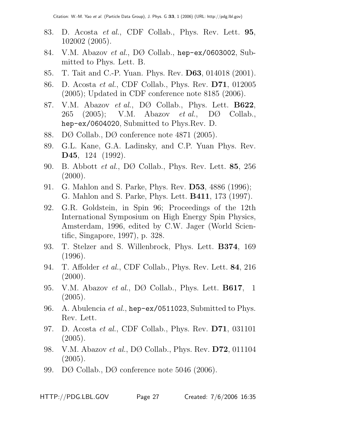- 83. D. Acosta et al., CDF Collab., Phys. Rev. Lett. **95**, 102002 (2005).
- 84. V.M. Abazov *et al.*, DØ Collab., hep-ex/0603002, Submitted to Phys. Lett. B.
- 85. T. Tait and C.-P. Yuan. Phys. Rev. **D63**, 014018 (2001).
- 86. D. Acosta et al., CDF Collab., Phys. Rev. **D71**, 012005 (2005); Updated in CDF conference note 8185 (2006).
- 87. V.M. Abazov et al., DØ Collab., Phys. Lett. **B622**, 265 (2005); V.M. Abazov *et al.*, D $\varnothing$  Collab., hep-ex/0604020, Submitted to Phys.Rev. D.
- 88. DØ Collab., DØ conference note 4871 (2005).
- 89. G.L. Kane, G.A. Ladinsky, and C.P. Yuan Phys. Rev. **D45**, 124 (1992).
- 90. B. Abbott et al., DØ Collab., Phys. Rev. Lett. **85**, 256  $(2000)$ .
- 91. G. Mahlon and S. Parke, Phys. Rev. **D53**, 4886 (1996); G. Mahlon and S. Parke, Phys. Lett. **B411**, 173 (1997).
- 92. G.R. Goldstein, in Spin 96; Proceedings of the 12th International Symposium on High Energy Spin Physics, Amsterdam, 1996, edited by C.W. Jager (World Scientific, Singapore, 1997), p. 328.
- 93. T. Stelzer and S. Willenbrock, Phys. Lett. **B374**, 169 (1996).
- 94. T. Affolder et al., CDF Collab., Phys. Rev. Lett. **84**, 216  $(2000)$ .
- 95. V.M. Abazov et al., DØ Collab., Phys. Lett. **B617**, 1 (2005).
- 96. A. Abulencia *et al.*, hep-ex/0511023, Submitted to Phys. Rev. Lett.
- 97. D. Acosta et al., CDF Collab., Phys. Rev. **D71**, 031101  $(2005).$
- 98. V.M. Abazov et al., DØ Collab., Phys. Rev. **D72**, 011104 (2005).
- 99. DØ Collab., DØ conference note 5046 (2006).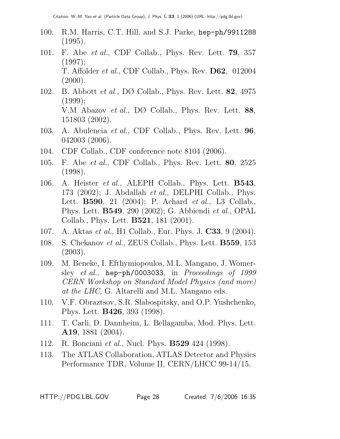- 100. R.M. Harris, C.T. Hill, and S.J. Parke, hep-ph/9911288 (1995).
- 101. F. Abe et al., CDF Collab., Phys. Rev. Lett. **79**, 357 (1997); T. Affolder et al., CDF Collab., Phys. Rev. **D62**, 012004  $(2000)$ .
- 102. B. Abbott et al., DØ Collab., Phys. Rev. Lett. **82**, 4975 (1999); V.M Abazov et al., DØ Collab., Phys. Rev. Lett. **88**, 151803 (2002).
- 103. A. Abulencia et al., CDF Collab., Phys. Rev. Lett. **96**, 042003 (2006).
- 104. CDF Collab., CDF conference note 8104 (2006).
- 105. F. Abe et al., CDF Collab., Phys. Rev. Lett. **80**, 2525 (1998).
- 106. A. Heister et al., ALEPH Collab., Phys. Lett. **B543**, 173 (2002); J. Abdallah et al., DELPHI Collab., Phys. Lett. **B590**, 21 (2004); P. Achard et al., L3 Collab., Phys. Lett. **B549**, 290 (2002); G. Abbiendi et al., OPAL Collab., Phys. Lett. **B521**, 181 (2001).
- 107. A. Aktas et al., H1 Collab., Eur. Phys. J. **C33**, 9 (2004).
- 108. S. Chekanov et al., ZEUS Collab., Phys. Lett. **B559**, 153 (2003).
- 109. M. Beneke, I. Efthymiopoulos, M.L. Mangano, J. Womersley et al., hep-ph/0003033, in Proceedings of 1999 CERN Workshop on Standard Model Physics (and more) at the LHC, G. Altarelli and M.L. Mangano eds.
- 110. V.F. Obraztsov, S.R. Slabospitsky, and O.P. Yushchenko, Phys. Lett. **B426**, 393 (1998).
- 111. T. Carli, D. Dannheim, L. Bellagamba, Mod. Phys. Lett. **A19**, 1881 (2004).
- 112. R. Bonciani et al., Nucl. Phys. **B529** 424 (1998).
- 113. The ATLAS Collaboration, ATLAS Detector and Physics Performance TDR, Volume II, CERN/LHCC 99-14/15.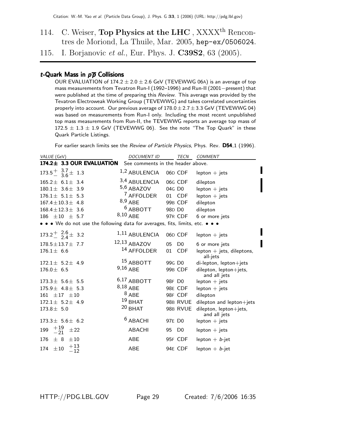114. C. Weiser, **Top Physics at the LHC**, XXXX<sup>th</sup> Rencontres de Moriond, La Thuile, Mar. 2005, hep-ex/0506024.

115. I. Borjanovic et al., Eur. Phys. J. **C39S2**, 63 (2005).

## t-Quark Mass in  $p\overline{p}$  Collisions

OUR EVALUATION of  $174.2 \pm 2.0 \pm 2.6$  GeV (TEVEWWG 06A) is an average of top mass measurements from Tevatron Run-I (1992–1996) and Run-II (2001−present) that were published at the time of preparing this Review. This average was provided by the Tevatron Electroweak Working Group (TEVEWWG) and takes correlated uncertainties properly into account. Our previous average of  $178.0 \pm 2.7 \pm 3.3$  GeV (TEVEWWG 04) was based on measurements from Run-I only. Including the most recent unpublished top mass measurements from Run-II, the TEVEWWG reports an average top mass of  $172.5 \pm 1.3 \pm 1.9$  GeV (TEVEWWG 06). See the note "The Top Quark" in these Quark Particle Listings.

For earlier search limits see the Review of Particle Physics, Phys. Rev. D54,1 (1996).

| VALUE (GeV)                                                                   | <b>DOCUMENT ID</b>                |                    | TECN           | <b>COMMENT</b>                             |
|-------------------------------------------------------------------------------|-----------------------------------|--------------------|----------------|--------------------------------------------|
| 174.2± 3.3 OUR EVALUATION                                                     | See comments in the header above. |                    |                |                                            |
| $173.5 \frac{+}{-}$ $\frac{3.7}{3.6} \pm 1.3$                                 | $1,2$ ABULENCIA                   |                    | 06D CDF        | $lepton + jets$                            |
| $165.2 \pm 6.1 \pm 3.4$                                                       | 3,4 ABULENCIA                     |                    | 06G CDF        | dilepton                                   |
| $180.1 \pm 3.6 \pm 3.9$                                                       | 5,6 ABAZOV                        | 04G D <sub>0</sub> |                | $lepton + jets$                            |
| $176.1 \pm 5.1 \pm 5.3$                                                       | <sup>7</sup> AFFOLDER             |                    | 01 CDF         | $lepton + jets$                            |
| $167.4 \pm 10.3 \pm 4.8$                                                      | $8,9$ ABE                         |                    | 99B CDF        | dilepton                                   |
| $168.4 \pm 12.3 \pm 3.6$                                                      | $6$ ABBOTT                        | 98D D0             |                | dilepton                                   |
| 186 $\pm 10$ $\pm$ 5.7                                                        | 8,10 ABE                          |                    | 97R CDF        | 6 or more jets                             |
| • • • We do not use the following data for averages, fits, limits, etc. • • • |                                   |                    |                |                                            |
| $173.2^{+}_{-}$ $^{2.6}_{2.4}$ $\pm$ 3.2                                      | $1,11$ ABULENCIA                  |                    | 06D CDF        | $lepton + jets$                            |
| $178.5 \pm 13.7 \pm 7.7$                                                      | 12,13 ABAZOV                      | 05                 | D <sub>0</sub> | 6 or more jets                             |
| $176.1 \pm 6.6$                                                               | 14 AFFOLDER                       | 01                 | <b>CDF</b>     | lepton $+$ jets, dileptons,<br>all-jets    |
| $172.1 \pm 5.2 \pm 4.9$                                                       | <sup>15</sup> ABBOTT              | 99G D <sub>0</sub> |                | di-lepton, lepton+jets                     |
| $176.0 \pm 6.5$                                                               | $9,16$ ABE                        |                    | 99B CDF        | $dilepton, lepton + jets,$<br>and all jets |
| $173.3 \pm 5.6 \pm 5.5$                                                       | $6,17$ ABBOTT                     | 98F D <sub>0</sub> |                | $lepton + jets$                            |
| $175.9 \pm 4.8 \pm 5.3$                                                       | 8,18 ABE                          |                    | 98E CDF        | $lepton + jets$                            |
| $161 \pm 17 \pm 10$                                                           | $8$ ABE                           |                    | 98F CDF        | dilepton                                   |
| $172.1 \pm 5.2 \pm 4.9$                                                       | $19$ BHAT                         |                    | 98B RVUE       | dilepton and lepton+jets                   |
| $173.8 \pm 5.0$                                                               | $20$ BHAT                         |                    | 98B RVUE       | $dilepton, lepton + jets,$<br>and all jets |
| $173.3 \pm 5.6 \pm 6.2$                                                       | $6$ ABACHI                        | 97E D0             |                | $lepton + jets$                            |
| $^{+19}_{-21}$<br>199<br>$\pm 22$                                             | <b>ABACHI</b>                     | 95                 | D <sub>0</sub> | $lepton + jets$                            |
| $+8$<br>$\pm10$<br>176                                                        | ABE                               |                    | 95F CDF        | lepton $+ b$ -jet                          |
| $^{+13}_{-12}$<br>$\pm 10$<br>174                                             | ABE                               |                    | 94E CDF        | lepton $+ b$ -jet                          |

HTTP://PDG.LBL.GOV Page 29 Created: 7/6/2006 16:35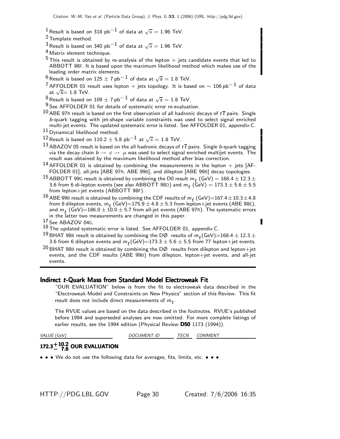<sup>1</sup> Result is based on 318 pb<sup>−1</sup> of data at  $\sqrt{s} = 1.96$  TeV.

- 2 Template method.
- <sup>3</sup> Result is based on 340 pb<sup>-1</sup> of data at  $\sqrt{s} = 1.96$  TeV.
- 4 Matrix element technique.
- $5$ This result is obtained by re-analysis of the lepton  $+$  jets candidate events that led to ABBOTT 98F. It is based upon the maximum likelihood method which makes use of the leading order matrix elements.
- <sup>6</sup> Result is based on 125  $\pm$  7 pb $^{-1}$  of data at  $\sqrt{s} = 1.8$  TeV.
- <sup>7</sup> AFFOLDER 01 result uses lepton + jets topology. It is based on  $\sim 106$  pb<sup>-1</sup> of data at  $\sqrt{s}$ = 1.8 TeV.

8 Result is based on 109  $\pm$  7 pb<sup>-1</sup> of data at  $\sqrt{s} = 1.8$  TeV.

 $9$  See AFFOLDER 01 for details of systematic error re-evaluation.

- 10 ABE 97R result is based on the first observation of all hadronic decays of  $t\bar{t}$  pairs. Single b-quark tagging with jet-shape variable constraints was used to select signal enriched multi-jet events. The updated systematic error is listed. See AFFOLDER 01, appendix C.
- $11$  Dynamical likelihood method.
- $^{12}$  Result is based on 110.2  $\pm$  5.8 pb $^{-1}$  at  $\sqrt{s} = 1.8$  TeV.
- 13 ABAZOV 05 result is based on the all hadronic decays of  $t\bar{t}$  pairs. Single b-quark tagging via the decay chain  $b \to c \to \mu$  was used to select signal enriched multijet events. The result was obtained by the maximum likelihood method after bias correction.
- <sup>14</sup> AFFOLDER 01 is obtained by combining the measurements in the lepton  $+$  jets [AF-FOLDER 01], all-jets [ABE 97R, ABE 99B], and dilepton [ABE 99B] decay topologies.
- $^{15}$  ABBOTT 99G result is obtained by combining the D0 result  $m_t$  (GeV)  $= 168.4 \pm 12.3 \pm 1.1$ 3.6 from 6 di-lepton events (see also ABBOTT 98D) and  $m_t$  (GeV)  $= 173.3 \pm 5.6 \pm 5.5$ from lepton+jet events (ABBOTT 98F).
- $^{16}$  ABE 99B result is obtained by combining the CDF results of  $m_t$  (GeV)=167.4 $\pm$ 10.3 $\pm$ 4.8 from 8 dilepton events,  $m_t$  (GeV)=175.9  $\pm$  4.8  $\pm$  5.3 from lepton+jet events (ABE 98E), and  $m_t$  (GeV)=186.0  $\pm$  10.0  $\pm$  5.7 from all-jet events (ABE 97R). The systematic errors in the latter two measurements are changed in this paper.<br> $17$  See ABAZOV 04G.
- 
- $18$  The updated systematic error is listed. See AFFOLDER 01, appendix C.
- <sup>19</sup> BHAT 98B result is obtained by combining the DØ results of  $m_t$  (GeV)=168.4  $\pm$  12.3  $\pm$ 3.6 from 6 dilepton events and  $m_t$  (GeV)=173.3  $\pm$  5.6  $\pm$  5.5 from 77 lepton+jet events.
- <sup>20</sup> BHAT 98B result is obtained by combining the DØ results from dilepton and lepton+jet events, and the CDF results (ABE 99B) from dilepton, lepton+jet events, and all-jet events.

#### Indirect t-Quark Mass from Standard Model Electroweak Fit

"OUR EVALUATION" below is from the fit to electroweak data described in the "Electroweak Model and Constraints on New Physics" section of this Review. This fit result does not include direct measurements of  $m_t$ .

The RVUE values are based on the data described in the footnotes. RVUE's published before 1994 and superseded analyses are now omitted. For more complete listings of earlier results, see the 1994 edition (Physical Review D50 1173 (1994)).

VALUE (GeV) **DOCUMENT ID** TECN COMMENT

# 172.3 $+10.2$  OUR EVALUATION

• • • We do not use the following data for averages, fits, limits, etc. • • •

HTTP://PDG.LBL.GOV Page 30 Created: 7/6/2006 16:35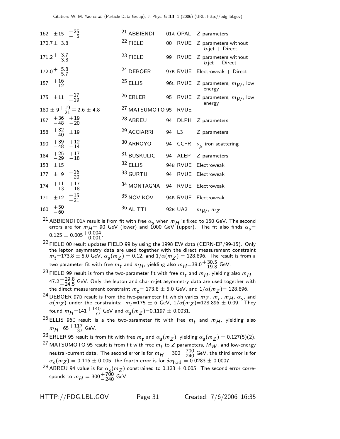| 162 $\pm 15$ $^{+25}_{-5}$                                 | $21$ ABBIENDI                      |  | 01A OPAL Z parameters                                |
|------------------------------------------------------------|------------------------------------|--|------------------------------------------------------|
| $170.7 \pm 3.8$                                            | $22$ FIELD                         |  | 00 RVUE Z parameters without<br>$b$ -jet + Direct    |
| $171.2 \frac{+}{-} 3.7$                                    | $^{23}$ FIELD                      |  | 99 RVUE Z parameters without<br>$b$ jet + Direct     |
| $172.0 \begin{array}{ccc} + & 5.8 \\ - & 5.7 \end{array}$  | $24$ DEBOER                        |  | 97B RVUE Electroweak + Direct                        |
| $157 \begin{array}{c} +16 \\ -12 \end{array}$              | $25$ ELLIS                         |  | 96C RVUE $Z$ parameters, $m_W$ , low<br>energy       |
| 175 $\pm 11$ $^{+17}_{-19}$                                |                                    |  | 26 ERLER 95 RVUE Z parameters, $m_W$ , low<br>energy |
| $180 \pm 9 + 19 - 21 = 2.6 \pm 4.8$                        | <sup>27</sup> MATSUMOTO 95 RVUE    |  |                                                      |
| $157$ $+36$ $+19$<br>$-48$ $-20$                           | $28$ ABREU 94 DLPH $Z$ parameters  |  |                                                      |
| $158$ $+32$ $\pm 19$                                       | $29$ ACCIARRI 94 L3 $Z$ parameters |  |                                                      |
| $\begin{matrix} 190 & +39 & +12 \\ -48 & -14 \end{matrix}$ |                                    |  | 30 ARROYO 94 CCFR $\nu_{\mu}$ iron scattering        |
| $184$ $+25$ $+17$<br>$-29$ $-18$                           | 31 BUSKULIC 94 ALEP Z parameters   |  |                                                      |
| 153 $\pm 15$                                               | 32 ELLIS 94B RVUE Electroweak      |  |                                                      |
| 177 $\pm$ 9 $\frac{+16}{-20}$                              | $33$ GURTU                         |  | 94 RVUE Electroweak                                  |
| $174$ $+11$ $+17$<br>$-13$ $-18$                           | 34 MONTAGNA 94 RVUE Electroweak    |  |                                                      |
| 171 $\pm 12$ $^{+15}_{-21}$                                | 35 NOVIKOV 94B RVUE Electroweak    |  |                                                      |
| $160$ $+50$<br>$-60$                                       | $36$ ALITTI                        |  | 92B UA2 $m_W, m_Z$                                   |
|                                                            |                                    |  |                                                      |

- <sup>21</sup> ABBIENDI 01A result is from fit with free  $\alpha_{\bm{s}}$  when  $m_{\bm{H}}$  is fixed to 150 GeV. The second errors are for  $m_{H} = 90$  GeV (lower) and 1000 GeV (upper). The fit also finds  $\alpha_{\mathcal{S}} =$  $0.125 \pm 0.005^{+0.004}_{-0.001}$
- $22$  FIELD 00 result updates FIELD 99 by using the 1998 EW data (CERN-EP/99-15). Only the lepton asymmetry data are used together with the direct measurement constraint  $m_t$ =173.8  $\pm$  5.0 GeV,  $\alpha_s(m_Z)$  = 0.12, and  $1/\alpha(m_Z)$  = 128.896. The result is from a two parameter fit with free  $m_t$  and  $m_H$ , yielding also  $m_H$  =38.0 $^{+30.5}_{-19.8}$  GeV.
- <sup>23</sup> FIELD 99 result is from the two-parameter fit with free  $m_t$  and  $m_H$ , yielding also  $m_H$ = 47.2 $+29.8$  GeV. Only the lepton and charm-jet asymmetry data are used together with the direct measurement constraint  $m_t$  = 173.8  $\pm$  5.0 GeV, and  $1/\alpha(m_Z)$  = 128.896.
- <sup>24</sup> DEBOER 97B result is from the five-parameter fit which varies  $m_Z$ ,  $m_t$ ,  $m_H$ ,  $\alpha_s$ , and  $\alpha(m_Z)$  under the constraints:  $m_t = 175 \pm 6$  GeV,  $1/\alpha(m_Z) = 128.896 \pm 0.09$ . They found  $m_{H} = 141 + {140 \over 77}$  GeV and  $\alpha_{S}(m_{Z}) = 0.1197 \pm 0.0031$ .
- <sup>25</sup> ELLIS 96C result is a the two-parameter fit with free  $m_t$  and  $m_H$ , yielding also  $m_{H} = 65 + {117 \over 37}$  GeV.

<sup>26</sup> ERLER 95 result is from fit with free  $m_t$  and  $\alpha_s(m_Z)$ , yielding  $\alpha_s(m_Z) = 0.127(5)(2)$ .

- <sup>27</sup> MATSUMOTO 95 result is from fit with free  $m_t$  to Z parameters,  $M_W$ , and low-energy neutral-current data. The second error is for  $m_H = 300 + \frac{700}{240}$  GeV, the third error is for  $\alpha_{\mathsf{s}}(m_Z) = 0.116 \pm 0.005$ , the fourth error is for  $\delta \alpha_{\mathsf{had}} = 0.0283 \pm 0.0007$ .
- <sup>28</sup> ABREU 94 value is for  $\alpha_{\rm s}(m_Z)$  constrained to 0.123  $\pm$  0.005. The second error corresponds to  $m_{H} = 300^{+700}_{-240}$  GeV.

HTTP://PDG.LBL.GOV Page 31 Created: 7/6/2006 16:35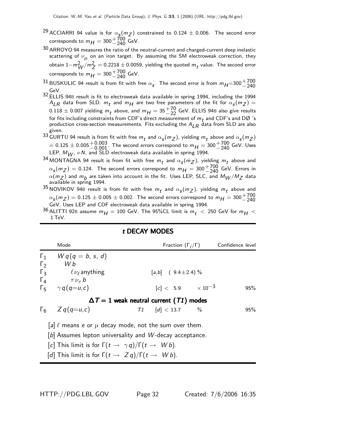- <sup>29</sup> ACCIARRI 94 value is for  $\alpha_{\bf s}(m_Z)$  constrained to 0.124  $\pm$  0.006. The second error corresponds to  $m_{H} = 300 + 700 \text{ GeV}.$
- $^{30}$  ARROYO 94 measures the ratio of the neutral-current and charged-current deep inelastic scattering of  $\nu_{\mu}$  on an iron target. By assuming the SM electroweak correction, they obtain  $1-m_W^2/m_Z^2 = 0.2218 \pm 0.0059$ , yielding the quoted  $m_t$  value. The second error corresponds to  $m_{\mathcal{H}} = 300^{+700}_{-240}$  GeV.
- <sup>31</sup> BUSKULIC 94 result is from fit with free  $\alpha_{s}$ . The second error is from  $m_{H} = 300 + 700$ <br>CoV GeV.
- 32 ELLIS 94<sup>B</sup> result is fit to electroweak data available in spring 1994, including the 1994  $A_{LR}$  data from SLD.  $m_t$  and  $m_H$  are two free parameters of the fit for  $\alpha_s(m_Z)$  =  $0.118 \pm 0.007$  yielding  $m_t$  above, and  $m_H = 35\frac{+70}{-22}$  GeV. ELLIS 94B also give results for fits including constraints from CDF's direct measurement of  $m_t$  and CDF's and DØ 's production cross-section measurements. Fits excluding the  $A_{LR}$  data from SLD are also given.
- 33 GURTU 94 result is from fit with free  $m_t$  and  $\alpha_s(m_Z)$ , yielding  $m_t$  above and  $\alpha_s(m_Z)$  $= 0.125 \pm 0.005 + 0.003$ . The second errors correspond to  $m_H = 300 + 700$  GeV. Uses LEP,  $M_{W}$ ,  $\nu$  N, and SLD electroweak data available in spring 1994.
- <sup>34</sup> MONTAGNA 94 result is from fit with free  $m_t$  and  $\alpha_s(m_Z)$ , yielding  $m_t$  above and  $\alpha_s(m_Z) = 0.124$ . The second errors correspond to  $m_H = 300 + 700$  GeV. Errors in  $\alpha(m_Z)$  and  $m_B$  are taken into account in the fit. Uses LEP, SLC, and  $M_W / M_Z$  data available in spring 1994.
- 35 NOVIKOV 94B result is from fit with free  $m_t$  and  $\alpha_s(m_Z)$ , yielding  $m_t$  above and  $\alpha_{s}(m_{Z}) = 0.125 \pm 0.005 \pm 0.002$ . The second errors correspond to  $m_{H} = 300 + 700$ <br>CeV, Here LEB and CDE electroweak data available in engine 1994 GeV. Uses LEP and CDF electroweak data available in spring 1994.
- $^{36}$  ALITTI 92B assume  $m_H =$  100 GeV. The 95%CL limit is  $m_t$   $\,<\,$  250 GeV for  $m_H <$ 1 TeV.

|                          | Mode                                                              |                              | Fraction $(\Gamma_i/\Gamma)$ Confidence level |
|--------------------------|-------------------------------------------------------------------|------------------------------|-----------------------------------------------|
| $\Gamma_1$<br>$\Gamma_2$ | $Wq(q = b, s, d)$<br>W b                                          |                              |                                               |
| $\Gamma_3$               | $\ell \nu_\ell$ anything                                          | $[a,b]$ (9.4±2.4) %          |                                               |
|                          | $\Gamma_4$ $\tau v_\tau b$                                        |                              |                                               |
|                          | $\Gamma_5$ $\gamma q(q=u,c)$                                      | $ c  < 5.9$ $\times 10^{-3}$ | 95%                                           |
|                          | $\Delta T = 1$ weak neutral current (T1) modes                    |                              |                                               |
|                          | $\Gamma_6$ $Zq(q=u,c)$                                            | $T1$ [d] < 13.7  %           | 95%                                           |
|                          | [a] $\ell$ means e or $\mu$ decay mode, not the sum over them.    |                              |                                               |
|                          | [b] Assumes lepton universality and $W$ -decay acceptance.        |                              |                                               |
|                          | [c] This limit is for $\Gamma(t \to \gamma q)/\Gamma(t \to Wb)$ . |                              |                                               |

## $t$  DECAY MODES

[d] This limit is for  $\Gamma(t \to Z q)/\Gamma(t \to W b)$ .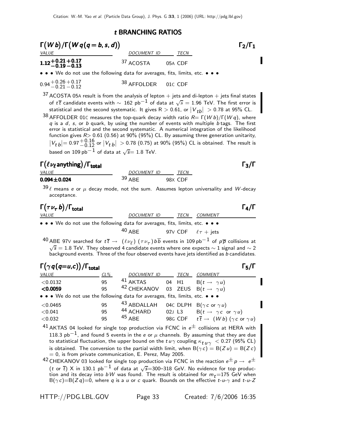# $t$  BRANCHING RATIOS

| $\Gamma(Wb)/\Gamma(Wq(q=b,s,d))$                            |          | $\Gamma_2/\Gamma_1$                                                                                                                                                                                                                                                                                                                                                                                                                                                                                                                                                                                                                                                                                                                                                                                                                                                         |
|-------------------------------------------------------------|----------|-----------------------------------------------------------------------------------------------------------------------------------------------------------------------------------------------------------------------------------------------------------------------------------------------------------------------------------------------------------------------------------------------------------------------------------------------------------------------------------------------------------------------------------------------------------------------------------------------------------------------------------------------------------------------------------------------------------------------------------------------------------------------------------------------------------------------------------------------------------------------------|
| <i>VALUE</i><br>12+0.21+0.17.<br>13 n = 0 10                |          | DOCUMENT ID TECN<br>37 ACOSTA<br>05A CDF                                                                                                                                                                                                                                                                                                                                                                                                                                                                                                                                                                                                                                                                                                                                                                                                                                    |
|                                                             |          |                                                                                                                                                                                                                                                                                                                                                                                                                                                                                                                                                                                                                                                                                                                                                                                                                                                                             |
|                                                             |          | • • • We do not use the following data for averages, fits, limits, etc. • • •                                                                                                                                                                                                                                                                                                                                                                                                                                                                                                                                                                                                                                                                                                                                                                                               |
| $0.94 + 0.26 + 0.17$<br>$-0.21 - 0.12$                      |          | <sup>38</sup> AFFOLDER<br>01C CDF                                                                                                                                                                                                                                                                                                                                                                                                                                                                                                                                                                                                                                                                                                                                                                                                                                           |
| based on 109 pb $^{-1}$ of data at $\sqrt{s}$ = 1.8 TeV.    |          | $37$ ACOSTA 05A result is from the analysis of lepton $+$ jets and di-lepton $+$ jets final states<br>of $t\overline{t}$ candidate events with $\sim~162$ pb $^{-1}$ of data at $\sqrt{s}=1.96$ TeV. The first error is<br>statistical and the second systematic. It gives R > 0.61, or $ V_{tb}  > 0.78$ at 95% CL.<br><sup>38</sup> AFFOLDER 01C measures the top-quark decay width ratio $R = \Gamma(Wb)/\Gamma(Wq)$ , where<br>$q$ is a $d$ , $s$ , or $b$ quark, by using the number of events with multiple $b$ tags. The first<br>error is statistical and the second systematic. A numerical integration of the likelihood<br>function gives $R > 0.61$ (0.56) at 90% (95%) CL. By assuming three generation unitarity,<br>$ V_{\small{t\,}b} {\rm = 0.97}_{-0.12}^{+0.16}$ or $ V_{\small{t\,}b} {\rm \ > 0.78}$ (0.75) at 90% (95%) CL is obtained. The result is |
| $\Gamma(\ell\nu_{\ell}$ anything) / $\Gamma_{\text{total}}$ |          | $\Gamma_3/\Gamma$                                                                                                                                                                                                                                                                                                                                                                                                                                                                                                                                                                                                                                                                                                                                                                                                                                                           |
| <i>VALUE</i>                                                |          |                                                                                                                                                                                                                                                                                                                                                                                                                                                                                                                                                                                                                                                                                                                                                                                                                                                                             |
| $0.094 \pm 0.024$                                           |          | DOCUMENT ID TECN<br>39 ABE 98X CDF                                                                                                                                                                                                                                                                                                                                                                                                                                                                                                                                                                                                                                                                                                                                                                                                                                          |
| acceptance.                                                 |          | $39$ $\ell$ means e or $\mu$ decay mode, not the sum. Assumes lepton universality and W-decay                                                                                                                                                                                                                                                                                                                                                                                                                                                                                                                                                                                                                                                                                                                                                                               |
| $\Gamma(\tau\nu_{\tau} b)/\Gamma_{\rm total}$               |          | $\Gamma_4/\Gamma$                                                                                                                                                                                                                                                                                                                                                                                                                                                                                                                                                                                                                                                                                                                                                                                                                                                           |
| <i>VALUE</i>                                                |          | DO <u>CUMENT ID TECN COMMENT</u>                                                                                                                                                                                                                                                                                                                                                                                                                                                                                                                                                                                                                                                                                                                                                                                                                                            |
|                                                             |          | • • • We do not use the following data for averages, fits, limits, etc. • • •                                                                                                                                                                                                                                                                                                                                                                                                                                                                                                                                                                                                                                                                                                                                                                                               |
|                                                             |          | $40$ ABF<br>97V CDF $\ell \tau$ + jets                                                                                                                                                                                                                                                                                                                                                                                                                                                                                                                                                                                                                                                                                                                                                                                                                                      |
|                                                             |          | $^{40}$ ABE 97V searched for $t\overline{t} \to \ (\ell\nu_\ell) \ (\tau\nu_\tau)$ $b\overline{b}$ events in 109 pb $^{-1}$ of $p\overline{p}$ collisions at<br>$\sqrt{s}=1.8$ TeV. They observed 4 candidate events where one expects $\sim 1$ signal and $\sim 2$<br>background events. Three of the four observed events have jets identified as b candidates.                                                                                                                                                                                                                                                                                                                                                                                                                                                                                                           |
| $\Gamma(\gamma q(q=u,c)) / \Gamma_{total}$                  |          | $\Gamma_5/\Gamma$                                                                                                                                                                                                                                                                                                                                                                                                                                                                                                                                                                                                                                                                                                                                                                                                                                                           |
| VALUE                                                       | CL%      | DOCUMENT ID<br>TECN COMMENT                                                                                                                                                                                                                                                                                                                                                                                                                                                                                                                                                                                                                                                                                                                                                                                                                                                 |
| < 0.0132                                                    | 95<br>95 | 41 AKTAS<br>$B(t \rightarrow \gamma u)$<br>04 H1<br><sup>42</sup> CHEKANOV 03 ZEUS B( $t \rightarrow \gamma u$ )                                                                                                                                                                                                                                                                                                                                                                                                                                                                                                                                                                                                                                                                                                                                                            |
| $<$ 0.0059                                                  |          | • • We do not use the following data for averages, fits, limits, etc. • • •                                                                                                                                                                                                                                                                                                                                                                                                                                                                                                                                                                                                                                                                                                                                                                                                 |
| $<$ 0.0465                                                  | 95       | 43 ABDALLAH<br>04C DLPH B( $\gamma c$ or $\gamma u$ )                                                                                                                                                                                                                                                                                                                                                                                                                                                                                                                                                                                                                                                                                                                                                                                                                       |
| < 0.041                                                     | 95       | 44 ACHARD<br>02J L3 $B(t \rightarrow \gamma c \text{ or } \gamma u)$                                                                                                                                                                                                                                                                                                                                                                                                                                                                                                                                                                                                                                                                                                                                                                                                        |
| < 0.032                                                     | 95       | $45$ ABE<br>98G CDF $t\overrightarrow{t} \rightarrow (Wb)(\gamma c \text{ or } \gamma u)$                                                                                                                                                                                                                                                                                                                                                                                                                                                                                                                                                                                                                                                                                                                                                                                   |
|                                                             |          | <sup>41</sup> AKTAS 04 looked for single top production via FCNC in $e^{\pm}$ collisions at HERA with                                                                                                                                                                                                                                                                                                                                                                                                                                                                                                                                                                                                                                                                                                                                                                       |
|                                                             |          | 118.3 ${\sf pb}^{-1}$ , and found 5 events in the e or $\mu$ channels. By assuming that they are due                                                                                                                                                                                                                                                                                                                                                                                                                                                                                                                                                                                                                                                                                                                                                                        |
|                                                             |          | to statistical fluctuation, the upper bound on the $t\,u\,\gamma$ coupling $\kappa_{\bm{t}\,\bm{u}\,\gamma}~<$ 0.27 (95% CL)                                                                                                                                                                                                                                                                                                                                                                                                                                                                                                                                                                                                                                                                                                                                                |
|                                                             |          | is obtained. The conversion to the partial width limit, when $B(\gamma c) = B(Zu) = B(Zc)$<br>$= 0$ , is from private communication, E. Perez, May 2005.                                                                                                                                                                                                                                                                                                                                                                                                                                                                                                                                                                                                                                                                                                                    |
|                                                             |          | <sup>42</sup> CHEKANOV 03 looked for single top production via FCNC in the reaction $e^\pm\,p\to\,e^\pm$                                                                                                                                                                                                                                                                                                                                                                                                                                                                                                                                                                                                                                                                                                                                                                    |

(t or t̄) X in 130.1 pb $^{-1}$  of data at  $\sqrt{s}$ =300–318 GeV. No evidence for top production and its decay into bW was found. The result is obtained for  $m_t = 175$  GeV when  $B(\gamma c)=B(Z q)=0$ , where q is a u or c quark. Bounds on the effective  $t-u-\gamma$  and  $t-u-Z$ 

 $\blacksquare$ 

 $\blacksquare$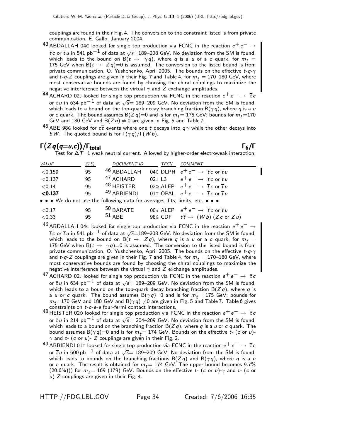couplings are found in their Fig. 4. The conversion to the constraint listed is from private communication, E. Gallo, January 2004.

- 43 ABDALLAH 04C looked for single top production via FCNC in the reaction  $e^+e^- \rightarrow$  $\overline{t}$ c or  $\overline{t}$ u in 541 pb $^{-1}$  of data at  $\sqrt{s}$ =189–208 GeV. No deviation from the SM is found, which leads to the bound on B $(t \rightarrow \gamma q)$ , where q is a u or a c quark, for  $m_t =$ 175 GeV when B $(t \rightarrow Z q)$ =0 is assumed. The conversion to the listed bound is from private communication, O. Yushchenko, April 2005. The bounds on the effective  $t$ - $q$ - $\gamma$ and t-q-Z couplings are given in their Fig. 7 and Table 4, for  $m_t = 170-180$  GeV, where most conservative bounds are found by choosing the chiral couplings to maximize the negative interference between the virtual  $\gamma$  and Z exchange amplitudes.
- 44 ACHARD 02J looked for single top production via FCNC in the reaction  $e^+e^- \rightarrow \bar{t}c$ or  $\overline{t}$  u in 634 pb $^{-1}$  of data at  $\sqrt{s}$ = 189–209 GeV. No deviation from the SM is found, which leads to a bound on the top-quark decay branching fraction  $B(\gamma q)$ , where q is a u or c quark. The bound assumes  $B(Z q)=0$  and is for  $m_t= 175$  GeV; bounds for  $m_t= 170$ GeV and 180 GeV and B $(Z \, q) \neq 0$  are given in Fig. 5 and Table 7.
- $^{45}$  ABE 98G looked for  $t\bar{t}$  events where one t decays into  $q\gamma$  while the other decays into bW. The quoted bound is for  $\Gamma(\gamma q)/\Gamma(W b)$ .

#### $\Gamma(Zq(q=u,c)) / \Gamma_{\text{total}}$ /Γ $\Gamma$ total $\Gamma_6/\Gamma$

Test for  $\Delta T=1$  weak neutral current. Allowed by higher-order electroweak interaction.

| <b>VALUE</b>     | $CL\%$   | <b>DOCUMENT ID</b>                                                            | TECN  | <b>COMMENT</b>                                                                                                                 |
|------------------|----------|-------------------------------------------------------------------------------|-------|--------------------------------------------------------------------------------------------------------------------------------|
| < 0.159          | 95       | 46 ABDALLAH                                                                   |       | 04C DLPH $e^+e^- \rightarrow \overline{t}c$ or $\overline{t}u$                                                                 |
| < 0.137          | 95       | <sup>47</sup> ACHARD                                                          | 02113 | $e^+ \, e^- \, \rightarrow \, \, \overline{t} \, c$ or $\overline{t} \, u$                                                     |
| < 0.14           | 95       | <sup>48</sup> HEISTER                                                         |       | 020 ALEP $e^+e^- \rightarrow \overline{t}c$ or $\overline{t}u$                                                                 |
| < 0.137          | 95       | <sup>49</sup> ABBIFNDI                                                        |       | 01T OPAL $e^+e^- \rightarrow \overline{t}c$ or $\overline{t}u$                                                                 |
|                  |          | • • • We do not use the following data for averages, fits, limits, etc. • • • |       |                                                                                                                                |
| < 0.17<br>< 0.33 | 95<br>95 | $50$ BARATE<br>$51$ ABE                                                       |       | 00s ALEP $e^+e^- \rightarrow \overline{t}c$ or $\overline{t}u$<br>98G CDF $t\overline{t} \rightarrow (Wb) (Zc \text{ or } Zu)$ |

 $^{46}$  ABDALLAH 04C looked for single top production via FCNC in the reaction  $e^+e^-\rightarrow$  $\overline{t}$ c or  $\overline{t}$ u in 541 pb<sup>-1</sup> of data at  $\sqrt{s}$ =189–208 GeV. No deviation from the SM is found, which leads to the bound on B( $t \to Zq$ ), where q is a u or a c quark, for  $m_t =$ 175 GeV when B( $t \to \gamma q$ )=0 is assumed. The conversion to the listed bound is from private communication, O. Yushchenko, April 2005. The bounds on the effective  $t$ - $q$ - $\gamma$ and t-q-Z couplings are given in their Fig. 7 and Table 4, for  $m_t = 170$ –180 GeV, where most conservative bounds are found by choosing the chiral couplings to maximize the negative interference between the virtual  $\gamma$  and Z exchange amplitudes.

- $^{47}$  ACHARD 02J looked for single top production via FCNC in the reaction  $e^+e^-\rightarrow\bar{t}\,c$ or  $\overline{t}$  u in 634 pb<sup>-1</sup> of data at  $\sqrt{s}$ = 189–209 GeV. No deviation from the SM is found, which leads to a bound on the top-quark decay branching fraction  $B(Zq)$ , where q is a u or c quark. The bound assumes  $B(\gamma q)=0$  and is for  $m_t = 175$  GeV; bounds for  $m_t$ =170 GeV and 180 GeV and B $(\gamma q) \neq 0$  are given in Fig. 5 and Table 7. Table 6 gives constraints on t-c-e-e four-fermi contact interactions.
- 48 HEISTER 02Q looked for single top production via FCNC in the reaction  $e^+e^- \rightarrow \overline{t}c$ or  $\overline{t}$  u in 214 pb<sup>-1</sup> of data at  $\sqrt{s}$ = 204–209 GeV. No deviation from the SM is found, which leads to a bound on the branching fraction  $B(Z q)$ , where q is a u or c quark. The bound assumes B( $\gamma q$ )=0 and is for  $m_t = 174$  GeV. Bounds on the effective t- (c or u)- $\gamma$  and t- (c or u)- Z couplings are given in their Fig. 2.
- <sup>49</sup> ABBIENDI 01⊤ looked for single top production via FCNC in the reaction  $e^+e^-\rightarrow \bar{t}\,c$ or  $\overline{t}$  u in 600 pb<sup>-1</sup> of data at  $\sqrt{s}$ = 189–209 GeV. No deviation from the SM is found, which leads to bounds on the branching fractions  $B(Z q)$  and  $B(\gamma q)$ , where q is a u or c quark. The result is obtained for  $m_t = 174$  GeV. The upper bound becomes 9.7% (20.6%))) for  $m_t = 169$  (179) GeV. Bounds on the effective t- (c or u)- $\gamma$  and t- (c or  $u$ )-Z couplings are given in their Fig. 4.

HTTP://PDG.LBL.GOV Page 34 Created: 7/6/2006 16:35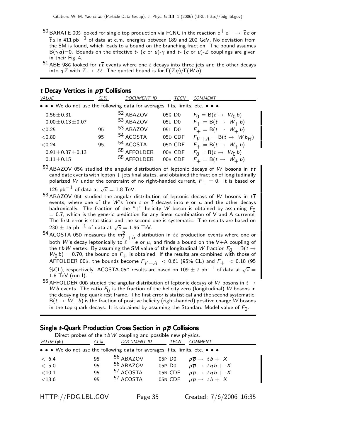- $^{50}$ BARATE 00S looked for single top production via FCNC in the reaction  $e^+e^-\to\overline{t}c$  or  $\overline{t}$ u in 411 pb $^{-1}$  of data at c.m. energies between 189 and 202 GeV. No deviation from the SM is found, which leads to a bound on the branching fraction. The bound assumes B( $\gamma$ q)=0. Bounds on the effective t- (c or u)- $\gamma$  and t- (c or u)-Z couplings are given in their Fig. 4.
- 51 ABE 98G looked for  $t\bar{t}$  events where one t decays into three jets and the other decays into q Z with  $Z \to \ell \ell$ . The quoted bound is for  $\Gamma(Zq)/\Gamma(Wb)$ .

#### t Decay Vertices in  $p\overline{p}$  Collisions

| • • • We do not use the following data for averages, fits, limits, etc. • • •          |  |
|----------------------------------------------------------------------------------------|--|
|                                                                                        |  |
| 52 ABAZOV<br>$0.56 \pm 0.31$<br>05G DO<br>$F_0 = B(t \rightarrow W_0 b)$               |  |
| 53 ABAZOV<br>$F_+ = B(t \rightarrow W_+ b)$<br>$0.00 \pm 0.13 \pm 0.07$<br>05L D0      |  |
| 53 ABAZOV<br>$F_+ = B(t \rightarrow W_+ b)$<br>05L DO<br>< 0.25<br>95                  |  |
| 54 ACOSTA<br>05D CDF<br>$F_{V+A} = B(t \rightarrow Wb_R)$<br>95<br>< 0.80              |  |
| 54 ACOSTA<br>05D CDF<br>$F_+ = B(t \rightarrow W_+ b)$<br>< 0.24<br>95                 |  |
| 55 AFFOLDER<br>00B CDF<br>$F_0 = B(t \rightarrow W_0 b)$<br>$0.91 \pm 0.37 \pm 0.13$   |  |
| <sup>55</sup> AFFOLDER<br>00B CDF<br>$F_+ = B(t \rightarrow W_+ b)$<br>$0.11 \pm 0.15$ |  |

52 ABAZOV 05G studied the angular distribution of leptonic decays of W bosons in  $t\bar{t}$ candidate events with lepton  $+$  jets final states, and obtained the fraction of longitudinally polarized W under the constraint of no right-handed current,  $F_{+} = 0$ . It is based on

125 pb<sup>-1</sup> of data at  $\sqrt{s} = 1.8$  TeV.

- 53 ABAZOV 05L studied the angular distribution of leptonic decays of W bosons in  $t\bar{t}$ events, where one of the W's from t or  $\overline{t}$  decays into e or  $\mu$  and the other decays hadronically. The fraction of the "+" helicity W boson is obtained by assuming  $F_0$  $= 0.7$ , which is the generic prediction for any linear combination of V and A currents. The first error is statistical and the second one is systematic. The results are based on  $230 \pm 15$  pb<sup>-1</sup> of data at  $\sqrt{s} = 1.96$  TeV.
- $^{54}$  ACOSTA 05D measures the  $m_\ell^2$   $_{+b}$  distribution in  $t\,\overline{t}$  production events where one or both W's decay leptonically to  $\ell = e$  or  $\mu$ , and finds a bound on the V+A coupling of the tbW vertex. By assuming the SM value of the longitudinal W fraction  $F_0 = B(t \rightarrow$  $W_0(b) = 0.70$ , the bound on  $F_+$  is obtained. If the results are combined with those of AFFOLDER 00B, the bounds become  $F_{V+A}$  < 0.61 (95% CL) and  $F_{+}$  < 0.18 (95 %CL), respectively. ACOSTA 05D results are based on 109  $\pm$  7 pb<sup>-1</sup> of data at  $\sqrt{s} =$ 1.8 TeV (run I).
- $^{55}$  AFFOLDER 00B studied the angular distribution of leptonic decays of W bosons in  $t \rightarrow$ W b events. The ratio  $F_0$  is the fraction of the helicity zero (longitudinal) W bosons in the decaying top quark rest frame. The first error is statistical and the second systematic.  $B(t \to W_+ b)$  is the fraction of positive helicity (right-handed) positive charge W bosons in the top quark decays. It is obtained by assuming the Standard Model value of  $F_0$ .

## Single t-Quark Production Cross Section in  $p\overline{p}$  Collisions

| Direct probes of the $t$ b W coupling and possible new physics.                                                       |        |                      |                    |                                               |  |  |
|-----------------------------------------------------------------------------------------------------------------------|--------|----------------------|--------------------|-----------------------------------------------|--|--|
| VALUE (pb)                                                                                                            | $CL\%$ | <b>DOCUMENT ID</b>   | <b>TECN</b>        | <b>COMMENT</b>                                |  |  |
| $\bullet \bullet \bullet$ We do not use the following data for averages, fits, limits, etc. $\bullet \bullet \bullet$ |        |                      |                    |                                               |  |  |
| < 6.4                                                                                                                 | 95     | 56 ABAZOV            | 05P DO             | $p\overline{p} \rightarrow t\overline{b} + X$ |  |  |
| < 5.0                                                                                                                 | 95     | 56 ABAZOV            | 05P D <sub>0</sub> | $p\overline{p} \rightarrow tqb + X$           |  |  |
| ${<}10.1$                                                                                                             | 95     | <sup>57</sup> ACOSTA | 05N CDF            | $p\overline{p} \rightarrow tqb + X$           |  |  |
| $<$ 13.6                                                                                                              | 95     | <sup>57</sup> ACOSTA | 05N CDF            | $p\overline{p} \rightarrow t\overline{b} + X$ |  |  |

HTTP://PDG.LBL.GOV Page 35 Created: 7/6/2006 16:35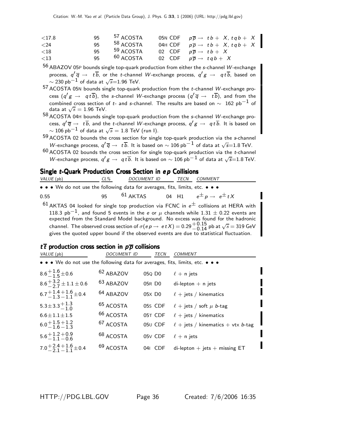| ${<}17.8$ | 95  | <sup>57</sup> ACOSTA | 05N CDF $p\overline{p} \rightarrow tb + X$ , $tqb + X$ |
|-----------|-----|----------------------|--------------------------------------------------------|
| ${<}24$   | 95  | <sup>58</sup> ACOSTA | 04H CDF $p\overline{p} \rightarrow tb+ X, tqb+ X$      |
| ${<}18$   | 95  | <sup>59</sup> ACOSTA | 02 CDF $p\overline{p} \rightarrow tb+X$                |
| $<$ 13    | 95. | $60$ ACOSTA          | 02 CDF $p\overline{p} \rightarrow tqb + X$             |

 $56$  ABAZOV 05P bounds single top-quark production from either the s-channel W-exchange process,  $q' \overline{q} \rightarrow t \overline{b}$ , or the t-channel W-exchange process,  $q'g \rightarrow q t \overline{b}$ , based on  $\sim$  230 pb $^{-1}$  of data at  $\sqrt{s}$ =1.96 TeV.

 $57$  ACOSTA 05N bounds single top-quark production from the *t*-channel W-exchange process  $(q'g \rightarrow q t \overline{b})$ , the s-channel W-exchange process  $(q' \overline{q} \rightarrow t \overline{b})$ , and from the combined cross section of t- and s-channel. The results are based on  $\sim 162$  pb<sup>-1</sup> of data at  $\sqrt{s} = 1.96$  TeV.

 $58$  ACOSTA 04H bounds single top-quark production from the s-channel W-exchange process,  $q' \overline{q} \to t \overline{b}$ , and the *t*-channel W-exchange process,  $q' g \to q t \overline{b}$ . It is based on  $\sim$  106 pb $^{-1}$  of data at  $\sqrt{s} = 1.8$  TeV (run I).

59 ACOSTA 02 bounds the cross section for single top-quark production via the s-channel W-exchange process,  $q' \overline{q} \rightarrow t \overline{b}$ . It is based on  $\sim 106$  pb $^{-1}$  of data at  $\sqrt{s}$ =1.8 TeV.

 $60$  ACOSTA 02 bounds the cross section for single top-quark production via the *t*-channel W-exchange process,  $q' g \rightarrow ~q t \overline{b}$ . It is based on  $\sim$  106 pb $^{-1}$  of data at  $\sqrt{s}{=}1.8$  TeV.

## Single t-Quark Production Cross Section in ep Collisions

| VALUE (pb)                                                                    | $CL\%$ | <i>DOCUMENT ID</i> | TECN | <i>COMMENT</i>                            |
|-------------------------------------------------------------------------------|--------|--------------------|------|-------------------------------------------|
| • • • We do not use the following data for averages, fits, limits, etc. • • • |        |                    |      |                                           |
| 0.55                                                                          | $95 -$ | $61$ AKTAS         |      | 04 H1 $e^{\pm} p \rightarrow e^{\pm} t X$ |

 $61$  AKTAS 04 looked for single top production via FCNC in  $e^{\pm}$  collisions at HERA with 118.3 pb<sup>-1</sup>, and found 5 events in the e or  $\mu$  channels while 1.31  $\pm$  0.22 events are expected from the Standard Model background. No excess was found for the hadronic channel. The observed cross section of  $\sigma(e p \to e t X) = 0.29_{-0.14}^{+0.15}$  pb at  $\sqrt{s} = 319$  GeV gives the quoted upper bound if the observed events are due to statistical fluctuation.

## $t\bar{t}$  production cross section in  $p\bar{p}$  collisions

| VALUE (pb)                                                                    | <i>DOCUMENT ID</i>   | TECN                | <b>COMMENT</b>                         |
|-------------------------------------------------------------------------------|----------------------|---------------------|----------------------------------------|
| • • • We do not use the following data for averages, fits, limits, etc. • • • |                      |                     |                                        |
| $8.6 + \frac{1.6}{1.5} \pm 0.6$                                               | <sup>62</sup> ABAZOV | 05Q D <sub>0</sub>  | $\ell$ + n jets                        |
| $8.6 + \frac{3.2}{2.7} \pm 1.1 \pm 0.6$                                       | <sup>63</sup> ABAZOV | 05R DO              | $di$ -lepton $+$ n jets                |
| $6.7 + 1.4 + 1.6 + 0.4$                                                       | <sup>64</sup> ABAZOV | 05X D <sub>0</sub>  | $\ell$ + jets / kinematics             |
| $5.3 \pm 3.3 \pm 1.3$                                                         | <sup>65</sup> ACOSTA | 05S CDF             | $\ell$ + jets / soft $\mu$ b-tag       |
| $6.6 \pm 1.1 \pm 1.5$                                                         | <sup>66</sup> ACOSTA | 05T CDF             | $\ell$ + jets / kinematics             |
| $6.0 + 1.5 + 1.2$<br>$-1.6 - 1.3$                                             | <sup>67</sup> ACOSTA | 05U CDF             | $\ell$ + jets / kinematics + vtx b-tag |
| $5.6 + 1.2 + 0.9$<br>$-1.1 - 0.6$                                             | <sup>68</sup> ACOSTA | 05 <sub>V</sub> CDF | $\ell$ + n jets                        |
| $7.0 + 2.4 + 1.6 + 0.4$                                                       | <sup>69</sup> ACOSTA | 04I CDF             | $di$ -lepton + jets + missing ET       |
|                                                                               |                      |                     |                                        |

HTTP://PDG.LBL.GOV Page 36 Created: 7/6/2006 16:35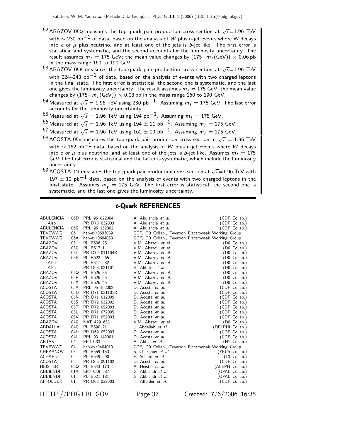- $^{62}$  ABAZOV 05Q measures the top-quark pair production cross section at  $\sqrt{s}$ =1.96 TeV with  $\sim$  230 pb $^{-1}$  of data, based on the analysis of  $W$  plus n-jet events where W decays into e or  $\mu$  plus neutrino, and at least one of the jets is b-jet like. The first error is statistical and systematic, and the second accounts for the luminosity uncertainty. The result assumes  $m_t = 175$  GeV; the mean value changes by  $(175-m_t (\text{GeV})) \times 0.06$  pb in the mass range 160 to 190 GeV.
- $63$  ABAZOV 05R measures the top-quark pair production cross section at  $\sqrt{s}=1.96$  TeV with 224–243 pb<sup>-1</sup> of data, based on the analysis of events with two charged leptons in the final state. The first error is statistical, the second one is systematic, and the last one gives the luminosity uncertainty. The result assumes  $m_t = 175$  GeV; the mean value changes by  $(175-m_t({\rm GeV}))\times 0.08$  pb in the mass range 160 to 190 GeV.
- $^{64}$  Measured at  $\sqrt{s} = 1.96$  TeV using 230 pb $^{-1}$ . Assuming  $m_t = 175$  GeV. The last error accounts for the luminosity uncertainty.
- $^{65}$  Measured at  $\sqrt{s}=1.96$  TeV using 194 pb $^{-1}$ . Assuming  $m_{t}=$  175 GeV.
- $^{66}$  Measured at  $\sqrt{s} = 1.96$  TeV using 194  $\pm$  11 pb<sup>-1</sup>. Assuming  $m_t = 175$  GeV.
- $^{67}$  Measured at  $\sqrt{s} = 1.96$  TeV using  $162 \pm 10$  pb<sup>-1</sup>. Assuming  $m_t = 175$  GeV.
- $^{68}$  ACOSTA 05V measures the top-quark pair production cross section at  $\sqrt{s} = 1.96$  TeV with  $\sim 162$  pb $^{-1}$  data, based on the analysis of W plus n-jet events where W decays into e or  $\mu$  plus neutrino, and at least one of the jets is b-jet like. Assumes  $m_t = 175$ GeV.The first error is statistical and the latter is systematic, which include the luminosity uncertainty.
- $69$  ACOSTA 04I measures the top-quark pair production cross section at  $\sqrt{s}$ =1.96 TeV with  $197 \pm 12$  pb<sup>-1</sup> data, based on the analysis of events with two charged leptons in the final state. Assumes  $m_t$  = 175 GeV. The first error is statistical, the second one is systematic, and the last one gives the luminosity uncertainty.

### t-Quark REFERENCES

| ABULENCIA      | 06D | PRL 96 022004  | A. Abulencia <i>et al.</i>                          | (CDF Collab.)    |
|----------------|-----|----------------|-----------------------------------------------------|------------------|
| Also           |     | PR D73 032003  | A. Abulencia et al.                                 | CDF Collab.)     |
| ABULENCIA      | 06G | PRL 96 152002  | A. Abulencia et al.                                 | (CDF Collab.)    |
| <b>TEVEWWG</b> | 06  | hep-ex/0603039 | CDF, D0 Collab., Tevatron Electroweak Working Group |                  |
| <b>TEVEWWG</b> | 06A | hep-ex/0604053 | CDF, D0 Collab., Tevatron Electroweak Working Group |                  |
| ABAZOV         | 05  | PL B606 25     | V.M. Abazov et al.                                  | (D0 Collab.)     |
| ABAZOV         | 05G | PL B617 1      | V.M. Abazov et al.                                  | (D0 Collab.)     |
| ABAZOV         | 05L | PR D72 011104R | V.M. Abazov et al.                                  | D0 Collab.)      |
| ABAZOV         | 05P | PL B622 265    | V.M. Abazov et al.                                  | (D0 Collab.)     |
| Also           |     | PL B517 282    | V.M. Abazov et al.                                  | (D0 Collab.)     |
| Also           |     | PR D63 031101  | B. Abbott et al.                                    | DO Collab.)      |
| ABAZOV         | 05Q | PL B626 35     | V.M. Abazov et al.                                  | DO Collab.)      |
| ABAZOV         | 05R | PL B626 55     | V.M. Abazov et al.                                  | DO Collab.)      |
| ABAZOV         | 05X | PL B626 45     | V.M. Abazov et al.                                  | (D0 Collab.)     |
| ACOSTA         | 05A | PRL 95 102002  | D. Acosta et al.                                    | (CDF Collab.)    |
| <b>ACOSTA</b>  | 05D | PR D71 031101R | D. Acosta et al.                                    | 'CDF Collab.)    |
| <b>ACOSTA</b>  | 05N | PR D71 012005  | D. Acosta et al.                                    | (CDF Collab.)    |
| <b>ACOSTA</b>  | 05S | PR D72 032002  | D. Acosta et al.                                    | CDF Collab.)     |
| <b>ACOSTA</b>  | 05T | PR D72 052003  | D. Acosta et al.                                    | CDF Collab.)     |
| <b>ACOSTA</b>  | 05U | PR D71 072005  | D. Acosta et al.                                    | CDF Collab.)     |
| ACOSTA         | 05V | PR D71 052003  | D. Acosta et al.                                    | (CDF Collab.)    |
| <b>ABAZOV</b>  | 04G | NAT 429 638    | V.M. Abazov et al.                                  | (D0 Collab.)     |
| ABDALLAH       | 04C | PL B590 21     | J. Abdallah <i>et al.</i>                           | (DELPHI Collab.) |
| <b>ACOSTA</b>  | 04H | PR D69 052003  | D. Acosta et al.                                    | (CDF Collab.)    |
| <b>ACOSTA</b>  | 041 | PRL 93 142001  | D. Acosta et al.                                    | (CDF Collab.)    |
| <b>AKTAS</b>   | 04  | EPJ C33 9      | A. Aktas et al.                                     | (H1 Collab.)     |
| <b>TEVEWWG</b> | 04  | hep-ex/0404010 | CDF, D0 Collab., Tevatron Electroweak Working Group |                  |
| CHEKANOV       | 03  | PL B559 153    | S. Chekanov et al.                                  | (ZEUS Collab.)   |
| ACHARD         | 02J | PL B549 290    | P. Achard et al.                                    | (L3 Collab.)     |
| <b>ACOSTA</b>  | 02  | PR D65 091102  | D. Acosta et al.                                    | (CDF Collab.)    |
| <b>HEISTER</b> | 02Q | PL B543 173    | A. Heister et al.                                   | (ALEPH Collab.)  |
| ABBIENDI       | 01A | EPJ C19 587    | G. Abbiendi et al.                                  | (OPAL Collab.)   |
| ABBIENDI       | 01T | PL B521 181    | G. Abbiendi et al.                                  | (OPAL Collab.)   |
| AFFOLDER       | 01  | PR D63 032003  | T. Affolder et al.                                  | (CDF Collab.)    |
|                |     |                |                                                     |                  |

HTTP://PDG.LBL.GOV Page 37 Created: 7/6/2006 16:35